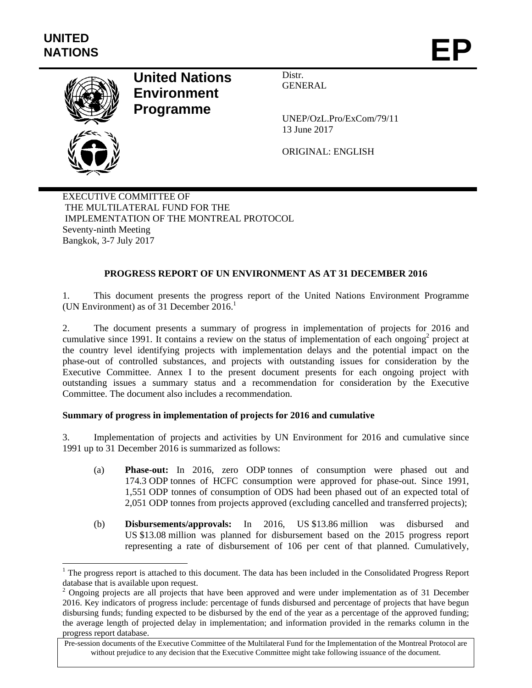l



# **United Nations Environment Programme**

Distr. GENERAL

UNEP/OzL.Pro/ExCom/79/11 13 June 2017

ORIGINAL: ENGLISH

EXECUTIVE COMMITTEE OF THE MULTILATERAL FUND FOR THE IMPLEMENTATION OF THE MONTREAL PROTOCOL Seventy-ninth Meeting Bangkok, 3-7 July 2017

# **PROGRESS REPORT OF UN ENVIRONMENT AS AT 31 DECEMBER 2016**

1. This document presents the progress report of the United Nations Environment Programme (UN Environment) as of 31 December  $2016$ <sup>1</sup>

2. The document presents a summary of progress in implementation of projects for 2016 and cumulative since 1991. It contains a review on the status of implementation of each ongoing<sup>2</sup> project at the country level identifying projects with implementation delays and the potential impact on the phase-out of controlled substances, and projects with outstanding issues for consideration by the Executive Committee. Annex I to the present document presents for each ongoing project with outstanding issues a summary status and a recommendation for consideration by the Executive Committee. The document also includes a recommendation.

# **Summary of progress in implementation of projects for 2016 and cumulative**

3. Implementation of projects and activities by UN Environment for 2016 and cumulative since 1991 up to 31 December 2016 is summarized as follows:

- (a) **Phase-out:** In 2016, zero ODP tonnes of consumption were phased out and 174.3 ODP tonnes of HCFC consumption were approved for phase-out. Since 1991, 1,551 ODP tonnes of consumption of ODS had been phased out of an expected total of 2,051 ODP tonnes from projects approved (excluding cancelled and transferred projects);
- (b) **Disbursements/approvals:** In 2016, US \$13.86 million was disbursed and US \$13.08 million was planned for disbursement based on the 2015 progress report representing a rate of disbursement of 106 per cent of that planned. Cumulatively,

 $1$  The progress report is attached to this document. The data has been included in the Consolidated Progress Report

database that is available upon request.<br><sup>2</sup> Ongoing projects are all projects that have been approved and were under implementation as of 31 December 2016. Key indicators of progress include: percentage of funds disbursed and percentage of projects that have begun disbursing funds; funding expected to be disbursed by the end of the year as a percentage of the approved funding; the average length of projected delay in implementation; and information provided in the remarks column in the progress report database.

Pre-session documents of the Executive Committee of the Multilateral Fund for the Implementation of the Montreal Protocol are without prejudice to any decision that the Executive Committee might take following issuance of the document.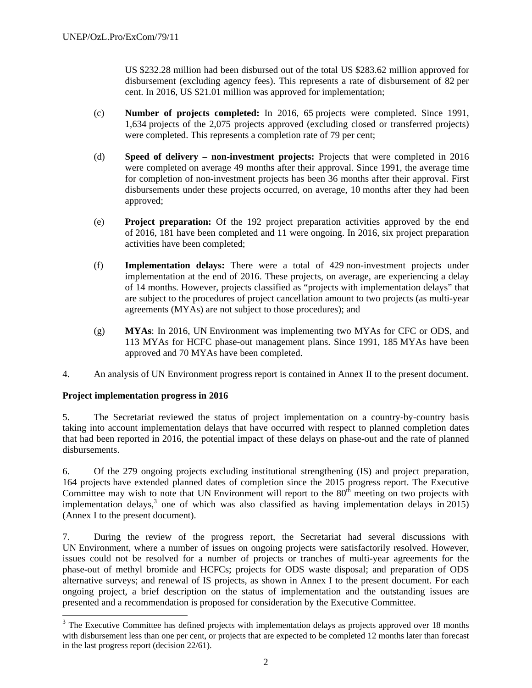US \$232.28 million had been disbursed out of the total US \$283.62 million approved for disbursement (excluding agency fees). This represents a rate of disbursement of 82 per cent. In 2016, US \$21.01 million was approved for implementation;

- (c) **Number of projects completed:** In 2016, 65 projects were completed. Since 1991, 1,634 projects of the 2,075 projects approved (excluding closed or transferred projects) were completed. This represents a completion rate of 79 per cent;
- (d) **Speed of delivery non-investment projects:** Projects that were completed in 2016 were completed on average 49 months after their approval. Since 1991, the average time for completion of non-investment projects has been 36 months after their approval. First disbursements under these projects occurred, on average, 10 months after they had been approved;
- (e) **Project preparation:** Of the 192 project preparation activities approved by the end of 2016, 181 have been completed and 11 were ongoing. In 2016, six project preparation activities have been completed;
- (f) **Implementation delays:** There were a total of 429 non-investment projects under implementation at the end of 2016. These projects, on average, are experiencing a delay of 14 months. However, projects classified as "projects with implementation delays" that are subject to the procedures of project cancellation amount to two projects (as multi-year agreements (MYAs) are not subject to those procedures); and
- (g) **MYAs**: In 2016, UN Environment was implementing two MYAs for CFC or ODS, and 113 MYAs for HCFC phase-out management plans. Since 1991, 185 MYAs have been approved and 70 MYAs have been completed.
- 4. An analysis of UN Environment progress report is contained in Annex II to the present document.

# **Project implementation progress in 2016**

1

5. The Secretariat reviewed the status of project implementation on a country-by-country basis taking into account implementation delays that have occurred with respect to planned completion dates that had been reported in 2016, the potential impact of these delays on phase-out and the rate of planned disbursements.

6. Of the 279 ongoing projects excluding institutional strengthening (IS) and project preparation, 164 projects have extended planned dates of completion since the 2015 progress report. The Executive Committee may wish to note that UN Environment will report to the  $80<sup>th</sup>$  meeting on two projects with implementation delays,<sup>3</sup> one of which was also classified as having implementation delays in 2015) (Annex I to the present document).

7. During the review of the progress report, the Secretariat had several discussions with UN Environment, where a number of issues on ongoing projects were satisfactorily resolved. However, issues could not be resolved for a number of projects or tranches of multi-year agreements for the phase-out of methyl bromide and HCFCs; projects for ODS waste disposal; and preparation of ODS alternative surveys; and renewal of IS projects, as shown in Annex I to the present document. For each ongoing project, a brief description on the status of implementation and the outstanding issues are presented and a recommendation is proposed for consideration by the Executive Committee.

<sup>&</sup>lt;sup>3</sup> The Executive Committee has defined projects with implementation delays as projects approved over 18 months with disbursement less than one per cent, or projects that are expected to be completed 12 months later than forecast in the last progress report (decision 22/61).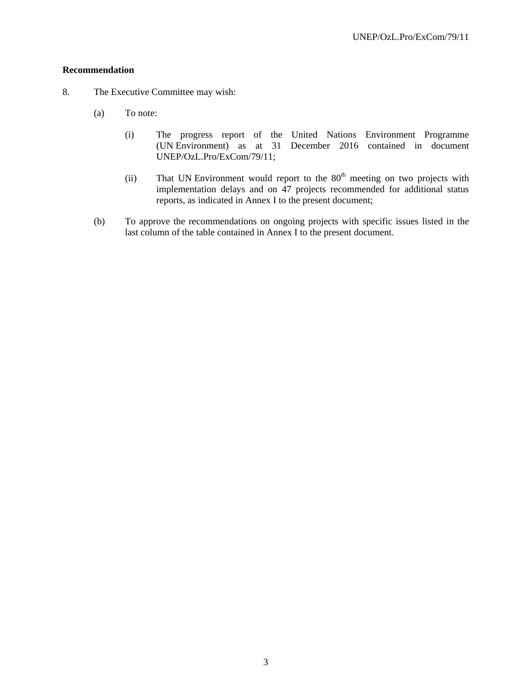## **Recommendation**

- 8. The Executive Committee may wish:
	- (a) To note:
		- (i) The progress report of the United Nations Environment Programme (UN Environment) as at 31 December 2016 contained in document UNEP/OzL.Pro/ExCom/79/11;
		- (ii) That UN Environment would report to the  $80<sup>th</sup>$  meeting on two projects with implementation delays and on 47 projects recommended for additional status reports, as indicated in Annex I to the present document;
	- (b) To approve the recommendations on ongoing projects with specific issues listed in the last column of the table contained in Annex I to the present document.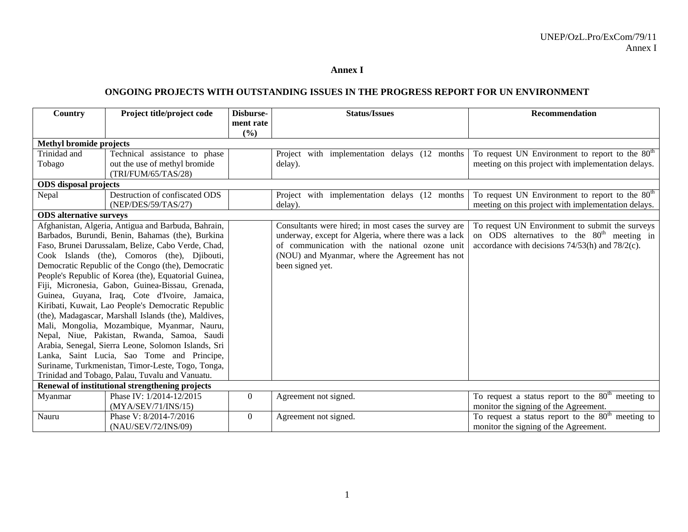#### **Annex I**

## **ONGOING PROJECTS WITH OUTSTANDING ISSUES IN THE PROGRESS REPORT FOR UN ENVIRONMENT**

| Country                                                                                                                                                                                                                                                                                                                                                                                                                                                                                                                                                                                                                                                                                                                                                                                                                                                                                     | Project title/project code                                                  | Disburse-          | <b>Status/Issues</b>                                                                                                                                                                                                                | <b>Recommendation</b>                                                                                                                                             |
|---------------------------------------------------------------------------------------------------------------------------------------------------------------------------------------------------------------------------------------------------------------------------------------------------------------------------------------------------------------------------------------------------------------------------------------------------------------------------------------------------------------------------------------------------------------------------------------------------------------------------------------------------------------------------------------------------------------------------------------------------------------------------------------------------------------------------------------------------------------------------------------------|-----------------------------------------------------------------------------|--------------------|-------------------------------------------------------------------------------------------------------------------------------------------------------------------------------------------------------------------------------------|-------------------------------------------------------------------------------------------------------------------------------------------------------------------|
|                                                                                                                                                                                                                                                                                                                                                                                                                                                                                                                                                                                                                                                                                                                                                                                                                                                                                             |                                                                             | ment rate<br>(9/0) |                                                                                                                                                                                                                                     |                                                                                                                                                                   |
| <b>Methyl bromide projects</b>                                                                                                                                                                                                                                                                                                                                                                                                                                                                                                                                                                                                                                                                                                                                                                                                                                                              |                                                                             |                    |                                                                                                                                                                                                                                     |                                                                                                                                                                   |
| Trinidad and<br>Technical assistance to phase<br>out the use of methyl bromide<br>Tobago<br>(TRI/FUM/65/TAS/28)                                                                                                                                                                                                                                                                                                                                                                                                                                                                                                                                                                                                                                                                                                                                                                             |                                                                             |                    | Project with implementation delays (12 months<br>delay).                                                                                                                                                                            | To request UN Environment to report to the 80 <sup>th</sup><br>meeting on this project with implementation delays.                                                |
| <b>ODS</b> disposal projects                                                                                                                                                                                                                                                                                                                                                                                                                                                                                                                                                                                                                                                                                                                                                                                                                                                                |                                                                             |                    |                                                                                                                                                                                                                                     |                                                                                                                                                                   |
| Nepal                                                                                                                                                                                                                                                                                                                                                                                                                                                                                                                                                                                                                                                                                                                                                                                                                                                                                       | Destruction of confiscated ODS<br>(NEP/DES/59/TAS/27)                       |                    | Project with implementation delays (12 months)<br>delay).                                                                                                                                                                           | To request UN Environment to report to the 80 <sup>th</sup><br>meeting on this project with implementation delays.                                                |
|                                                                                                                                                                                                                                                                                                                                                                                                                                                                                                                                                                                                                                                                                                                                                                                                                                                                                             |                                                                             |                    |                                                                                                                                                                                                                                     |                                                                                                                                                                   |
| <b>ODS</b> alternative surveys<br>Afghanistan, Algeria, Antigua and Barbuda, Bahrain,<br>Barbados, Burundi, Benin, Bahamas (the), Burkina<br>Faso, Brunei Darussalam, Belize, Cabo Verde, Chad,<br>Cook Islands (the), Comoros (the), Djibouti,<br>Democratic Republic of the Congo (the), Democratic<br>People's Republic of Korea (the), Equatorial Guinea,<br>Fiji, Micronesia, Gabon, Guinea-Bissau, Grenada,<br>Guinea, Guyana, Iraq, Cote d'Ivoire, Jamaica,<br>Kiribati, Kuwait, Lao People's Democratic Republic<br>(the), Madagascar, Marshall Islands (the), Maldives,<br>Mali, Mongolia, Mozambique, Myanmar, Nauru,<br>Nepal, Niue, Pakistan, Rwanda, Samoa, Saudi<br>Arabia, Senegal, Sierra Leone, Solomon Islands, Sri<br>Lanka, Saint Lucia, Sao Tome and Principe,<br>Suriname, Turkmenistan, Timor-Leste, Togo, Tonga,<br>Trinidad and Tobago, Palau, Tuvalu and Vanuatu. |                                                                             |                    | Consultants were hired; in most cases the survey are<br>underway, except for Algeria, where there was a lack<br>of communication with the national ozone unit<br>(NOU) and Myanmar, where the Agreement has not<br>been signed yet. | To request UN Environment to submit the surveys<br>on ODS alternatives to the 80 <sup>th</sup> meeting in<br>accordance with decisions $74/53(h)$ and $78/2(c)$ . |
| Myanmar                                                                                                                                                                                                                                                                                                                                                                                                                                                                                                                                                                                                                                                                                                                                                                                                                                                                                     | Renewal of institutional strengthening projects<br>Phase IV: 1/2014-12/2015 | $\Omega$           | Agreement not signed.                                                                                                                                                                                                               | To request a status report to the $80th$ meeting to                                                                                                               |
|                                                                                                                                                                                                                                                                                                                                                                                                                                                                                                                                                                                                                                                                                                                                                                                                                                                                                             | (MYA/SEV/71/INS/15)                                                         |                    |                                                                                                                                                                                                                                     | monitor the signing of the Agreement.                                                                                                                             |
| Nauru                                                                                                                                                                                                                                                                                                                                                                                                                                                                                                                                                                                                                                                                                                                                                                                                                                                                                       | Phase V: 8/2014-7/2016<br>(NAU/SEV/72/INS/09)                               | $\overline{0}$     | Agreement not signed.                                                                                                                                                                                                               | To request a status report to the $80th$ meeting to<br>monitor the signing of the Agreement.                                                                      |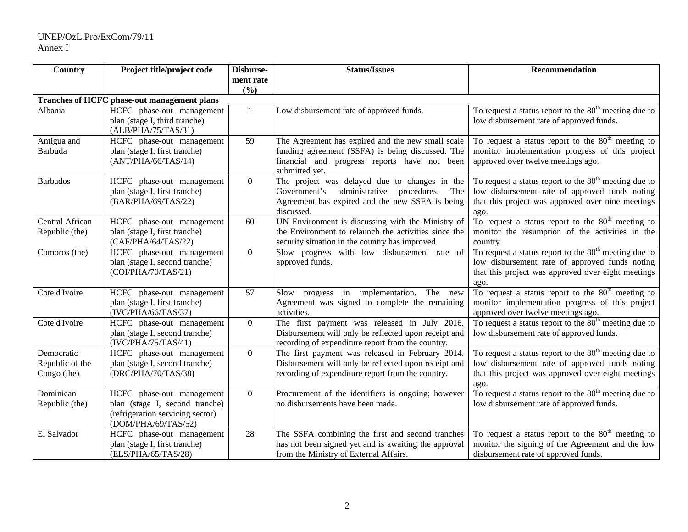## UNEP/OzL.Pro/ExCom/79/11 Annex I

| <b>Country</b>  | Project title/project code                  | Disburse-      | <b>Status/Issues</b>                                 | Recommendation                                                    |
|-----------------|---------------------------------------------|----------------|------------------------------------------------------|-------------------------------------------------------------------|
|                 |                                             | ment rate      |                                                      |                                                                   |
|                 |                                             | (%)            |                                                      |                                                                   |
|                 | Tranches of HCFC phase-out management plans |                |                                                      |                                                                   |
| Albania         | HCFC phase-out management                   |                | Low disbursement rate of approved funds.             | To request a status report to the $80th$ meeting due to           |
|                 | plan (stage I, third tranche)               |                |                                                      | low disbursement rate of approved funds.                          |
|                 | (ALB/PHA/75/TAS/31)                         |                |                                                      |                                                                   |
| Antigua and     | HCFC phase-out management                   | 59             | The Agreement has expired and the new small scale    | To request a status report to the 80 <sup>th</sup> meeting to     |
| Barbuda         | plan (stage I, first tranche)               |                | funding agreement (SSFA) is being discussed. The     | monitor implementation progress of this project                   |
|                 | (ANT/PHA/66/TAS/14)                         |                | financial and progress reports have not been         | approved over twelve meetings ago.                                |
|                 |                                             |                | submitted yet.                                       |                                                                   |
| <b>Barbados</b> | HCFC phase-out management                   | $\Omega$       | The project was delayed due to changes in the        | To request a status report to the $80th$ meeting due to           |
|                 | plan (stage I, first tranche)               |                | administrative procedures.<br>Government's<br>The    | low disbursement rate of approved funds noting                    |
|                 | (BAR/PHA/69/TAS/22)                         |                | Agreement has expired and the new SSFA is being      | that this project was approved over nine meetings                 |
|                 |                                             |                | discussed.                                           | ago.                                                              |
| Central African | HCFC phase-out management                   | 60             | UN Environment is discussing with the Ministry of    | To request a status report to the 80 <sup>th</sup> meeting to     |
| Republic (the)  | plan (stage I, first tranche)               |                | the Environment to relaunch the activities since the | monitor the resumption of the activities in the                   |
|                 | (CAF/PHA/64/TAS/22)                         |                | security situation in the country has improved.      | country.                                                          |
| Comoros (the)   | HCFC phase-out management                   | $\overline{0}$ | Slow progress with low disbursement rate of          | To request a status report to the $80th$ meeting due to           |
|                 | plan (stage I, second tranche)              |                | approved funds.                                      | low disbursement rate of approved funds noting                    |
|                 | (COI/PHA/70/TAS/21)                         |                |                                                      | that this project was approved over eight meetings                |
|                 |                                             |                |                                                      | ago.                                                              |
| Cote d'Ivoire   | HCFC phase-out management                   | 57             | Slow progress in implementation.<br>The new          | To request a status report to the $80th$ meeting to               |
|                 | plan (stage I, first tranche)               |                | Agreement was signed to complete the remaining       | monitor implementation progress of this project                   |
|                 | (IVC/PHA/66/TAS/37)                         |                | activities.                                          | approved over twelve meetings ago.                                |
| Cote d'Ivoire   | HCFC phase-out management                   | $\overline{0}$ | The first payment was released in July 2016.         | To request a status report to the $80th$ meeting due to           |
|                 | plan (stage I, second tranche)              |                | Disbursement will only be reflected upon receipt and | low disbursement rate of approved funds.                          |
|                 | (IVC/PHA/75/TAS/41)                         |                | recording of expenditure report from the country.    |                                                                   |
| Democratic      | HCFC phase-out management                   | $\overline{0}$ | The first payment was released in February 2014.     | To request a status report to the 80 <sup>th</sup> meeting due to |
| Republic of the | plan (stage I, second tranche)              |                | Disbursement will only be reflected upon receipt and | low disbursement rate of approved funds noting                    |
| Congo (the)     | (DRC/PHA/70/TAS/38)                         |                | recording of expenditure report from the country.    | that this project was approved over eight meetings                |
|                 |                                             |                |                                                      | ago.                                                              |
| Dominican       | HCFC phase-out management                   | $\overline{0}$ | Procurement of the identifiers is ongoing; however   | To request a status report to the $80th$ meeting due to           |
| Republic (the)  | plan (stage I, second tranche)              |                | no disbursements have been made.                     | low disbursement rate of approved funds.                          |
|                 | (refrigeration servicing sector)            |                |                                                      |                                                                   |
|                 | (DOM/PHA/69/TAS/52)                         |                |                                                      |                                                                   |
| El Salvador     | HCFC phase-out management                   | 28             | The SSFA combining the first and second tranches     | To request a status report to the $80th$ meeting to               |
|                 | plan (stage I, first tranche)               |                | has not been signed yet and is awaiting the approval | monitor the signing of the Agreement and the low                  |
|                 | (ELS/PHA/65/TAS/28)                         |                | from the Ministry of External Affairs.               | disbursement rate of approved funds.                              |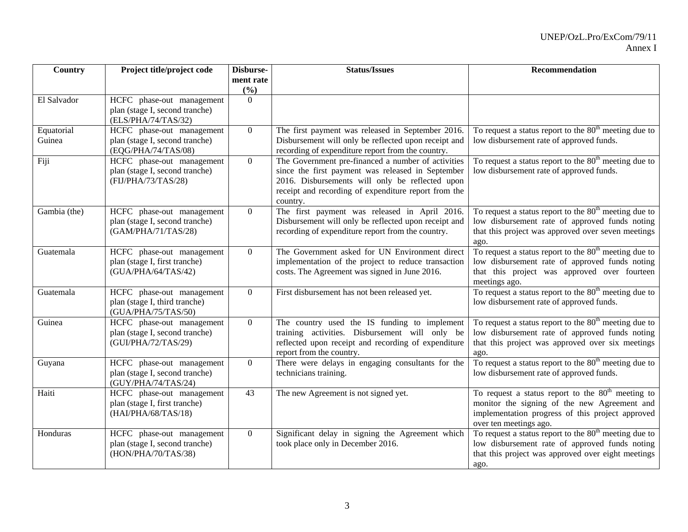| Country      | Project title/project code                                  | Disburse-      | <b>Status/Issues</b>                                                                                      | Recommendation                                                                                       |
|--------------|-------------------------------------------------------------|----------------|-----------------------------------------------------------------------------------------------------------|------------------------------------------------------------------------------------------------------|
|              |                                                             | ment rate      |                                                                                                           |                                                                                                      |
|              |                                                             | (%)            |                                                                                                           |                                                                                                      |
| El Salvador  | HCFC phase-out management                                   | $\Omega$       |                                                                                                           |                                                                                                      |
|              | plan (stage I, second tranche)<br>(ELS/PHA/74/TAS/32)       |                |                                                                                                           |                                                                                                      |
| Equatorial   | HCFC phase-out management                                   | $\Omega$       | The first payment was released in September 2016.                                                         | To request a status report to the $80th$ meeting due to                                              |
| Guinea       | plan (stage I, second tranche)                              |                | Disbursement will only be reflected upon receipt and                                                      | low disbursement rate of approved funds.                                                             |
|              | (EQG/PHA/74/TAS/08)                                         |                | recording of expenditure report from the country.                                                         |                                                                                                      |
| Fiji         | HCFC phase-out management                                   | $\overline{0}$ | The Government pre-financed a number of activities                                                        | To request a status report to the $80th$ meeting due to                                              |
|              | plan (stage I, second tranche)                              |                | since the first payment was released in September                                                         | low disbursement rate of approved funds.                                                             |
|              | (FIJ/PHA/73/TAS/28)                                         |                | 2016. Disbursements will only be reflected upon                                                           |                                                                                                      |
|              |                                                             |                | receipt and recording of expenditure report from the                                                      |                                                                                                      |
|              |                                                             |                | country.                                                                                                  |                                                                                                      |
| Gambia (the) | HCFC phase-out management                                   | $\Omega$       | The first payment was released in April 2016.                                                             | To request a status report to the $80th$ meeting due to                                              |
|              | plan (stage I, second tranche)<br>(GAM/PHA/71/TAS/28)       |                | Disbursement will only be reflected upon receipt and<br>recording of expenditure report from the country. | low disbursement rate of approved funds noting<br>that this project was approved over seven meetings |
|              |                                                             |                |                                                                                                           | ago.                                                                                                 |
| Guatemala    | HCFC phase-out management                                   | $\overline{0}$ | The Government asked for UN Environment direct                                                            | To request a status report to the $80th$ meeting due to                                              |
|              | plan (stage I, first tranche)                               |                | implementation of the project to reduce transaction                                                       | low disbursement rate of approved funds noting                                                       |
|              | (GUA/PHA/64/TAS/42)                                         |                | costs. The Agreement was signed in June 2016.                                                             | that this project was approved over fourteen                                                         |
|              |                                                             |                |                                                                                                           | meetings ago.                                                                                        |
| Guatemala    | HCFC phase-out management                                   | $\overline{0}$ | First disbursement has not been released yet.                                                             | To request a status report to the $80th$ meeting due to                                              |
|              | plan (stage I, third tranche)                               |                |                                                                                                           | low disbursement rate of approved funds.                                                             |
| Guinea       | (GUA/PHA/75/TAS/50)                                         | $\overline{0}$ |                                                                                                           | To request a status report to the $80th$ meeting due to                                              |
|              | HCFC phase-out management<br>plan (stage I, second tranche) |                | The country used the IS funding to implement<br>training activities. Disbursement will only be            | low disbursement rate of approved funds noting                                                       |
|              | (GUI/PHA/72/TAS/29)                                         |                | reflected upon receipt and recording of expenditure                                                       | that this project was approved over six meetings                                                     |
|              |                                                             |                | report from the country.                                                                                  | ago.                                                                                                 |
| Guyana       | HCFC phase-out management                                   | $\overline{0}$ | There were delays in engaging consultants for the                                                         | To request a status report to the $80th$ meeting due to                                              |
|              | plan (stage I, second tranche)                              |                | technicians training.                                                                                     | low disbursement rate of approved funds.                                                             |
|              | (GUY/PHA/74/TAS/24)                                         |                |                                                                                                           |                                                                                                      |
| Haiti        | HCFC phase-out management                                   | 43             | The new Agreement is not signed yet.                                                                      | To request a status report to the $80th$ meeting to                                                  |
|              | plan (stage I, first tranche)                               |                |                                                                                                           | monitor the signing of the new Agreement and                                                         |
|              | (HAI/PHA/68/TAS/18)                                         |                |                                                                                                           | implementation progress of this project approved                                                     |
| Honduras     | HCFC phase-out management                                   | $\overline{0}$ | Significant delay in signing the Agreement which                                                          | over ten meetings ago.<br>To request a status report to the 80 <sup>th</sup> meeting due to          |
|              | plan (stage I, second tranche)                              |                | took place only in December 2016.                                                                         | low disbursement rate of approved funds noting                                                       |
|              | (HON/PHA/70/TAS/38)                                         |                |                                                                                                           | that this project was approved over eight meetings                                                   |
|              |                                                             |                |                                                                                                           | ago.                                                                                                 |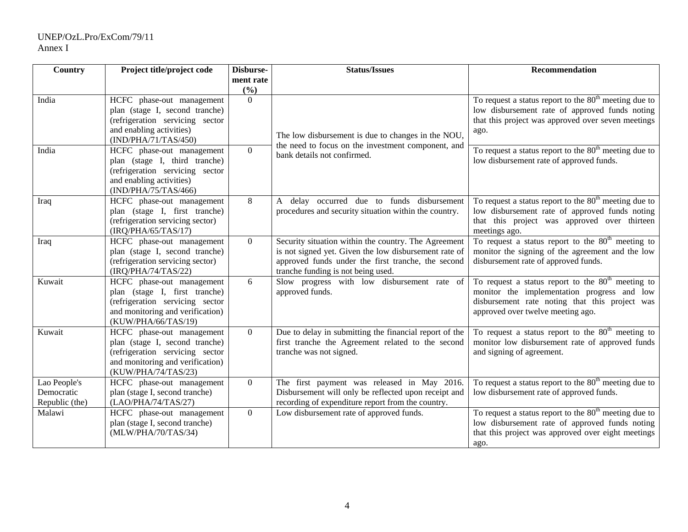| Country                                      | Project title/project code                                                                                                                                | Disburse-       | <b>Status/Issues</b>                                                                                                                                                                                      | Recommendation                                                                                                                                                                            |
|----------------------------------------------|-----------------------------------------------------------------------------------------------------------------------------------------------------------|-----------------|-----------------------------------------------------------------------------------------------------------------------------------------------------------------------------------------------------------|-------------------------------------------------------------------------------------------------------------------------------------------------------------------------------------------|
|                                              |                                                                                                                                                           | ment rate       |                                                                                                                                                                                                           |                                                                                                                                                                                           |
| India                                        | HCFC phase-out management<br>plan (stage I, second tranche)<br>(refrigeration servicing sector<br>and enabling activities)<br>(IND/PHA/71/TAS/450)        | (%)<br>$\Omega$ | The low disbursement is due to changes in the NOU,                                                                                                                                                        | To request a status report to the 80 <sup>th</sup> meeting due to<br>low disbursement rate of approved funds noting<br>that this project was approved over seven meetings<br>ago.         |
| India                                        | HCFC phase-out management<br>plan (stage I, third tranche)<br>(refrigeration servicing sector<br>and enabling activities)<br>(IND/PHA/75/TAS/466)         | $\overline{0}$  | the need to focus on the investment component, and<br>bank details not confirmed.                                                                                                                         | To request a status report to the $80th$ meeting due to<br>low disbursement rate of approved funds.                                                                                       |
| Iraq                                         | HCFC phase-out management<br>plan (stage I, first tranche)<br>(refrigeration servicing sector)<br>(IRQ/PHA/65/TAS/17)                                     | 8               | A delay occurred due to funds disbursement<br>procedures and security situation within the country.                                                                                                       | To request a status report to the $80th$ meeting due to<br>low disbursement rate of approved funds noting<br>that this project was approved over thirteen<br>meetings ago.                |
| Iraq                                         | HCFC phase-out management<br>plan (stage I, second tranche)<br>(refrigeration servicing sector)<br>(IRQ/PHA/74/TAS/22)                                    | $\overline{0}$  | Security situation within the country. The Agreement<br>is not signed yet. Given the low disbursement rate of<br>approved funds under the first tranche, the second<br>tranche funding is not being used. | To request a status report to the $80th$ meeting to<br>monitor the signing of the agreement and the low<br>disbursement rate of approved funds.                                           |
| Kuwait                                       | HCFC phase-out management<br>plan (stage I, first tranche)<br>(refrigeration servicing sector<br>and monitoring and verification)<br>(KUW/PHA/66/TAS/19)  | 6               | Slow progress with low disbursement rate of<br>approved funds.                                                                                                                                            | To request a status report to the $80th$ meeting to<br>monitor the implementation progress and low<br>disbursement rate noting that this project was<br>approved over twelve meeting ago. |
| Kuwait                                       | HCFC phase-out management<br>plan (stage I, second tranche)<br>(refrigeration servicing sector<br>and monitoring and verification)<br>(KUW/PHA/74/TAS/23) | $\overline{0}$  | Due to delay in submitting the financial report of the<br>first tranche the Agreement related to the second<br>tranche was not signed.                                                                    | To request a status report to the $80th$ meeting to<br>monitor low disbursement rate of approved funds<br>and signing of agreement.                                                       |
| Lao People's<br>Democratic<br>Republic (the) | HCFC phase-out management<br>plan (stage I, second tranche)<br>(LAO/PHA/74/TAS/27)                                                                        | $\overline{0}$  | The first payment was released in May 2016.<br>Disbursement will only be reflected upon receipt and<br>recording of expenditure report from the country.                                                  | To request a status report to the $80th$ meeting due to<br>low disbursement rate of approved funds.                                                                                       |
| Malawi                                       | HCFC phase-out management<br>plan (stage I, second tranche)<br>(MLW/PHA/70/TAS/34)                                                                        | $\overline{0}$  | Low disbursement rate of approved funds.                                                                                                                                                                  | To request a status report to the $80th$ meeting due to<br>low disbursement rate of approved funds noting<br>that this project was approved over eight meetings<br>ago.                   |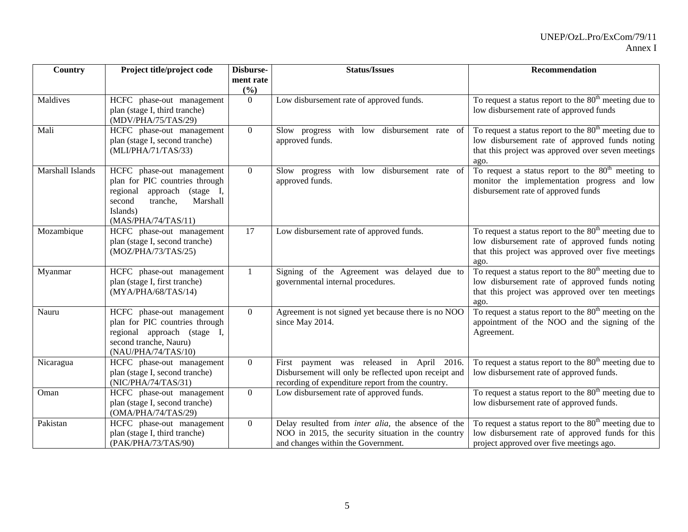| Country          | Project title/project code                                                                                                                                      | Disburse-        | <b>Status/Issues</b>                                                                                                                                   | Recommendation                                                                                                                                                          |
|------------------|-----------------------------------------------------------------------------------------------------------------------------------------------------------------|------------------|--------------------------------------------------------------------------------------------------------------------------------------------------------|-------------------------------------------------------------------------------------------------------------------------------------------------------------------------|
|                  |                                                                                                                                                                 | ment rate<br>(%) |                                                                                                                                                        |                                                                                                                                                                         |
| Maldives         | HCFC phase-out management<br>plan (stage I, third tranche)<br>(MDV/PHA/75/TAS/29)                                                                               | $\Omega$         | Low disbursement rate of approved funds.                                                                                                               | To request a status report to the $80th$ meeting due to<br>low disbursement rate of approved funds                                                                      |
| Mali             | HCFC phase-out management<br>plan (stage I, second tranche)<br>(MLI/PHA/71/TAS/33)                                                                              | $\Omega$         | Slow progress with low disbursement rate of<br>approved funds.                                                                                         | To request a status report to the $80th$ meeting due to<br>low disbursement rate of approved funds noting<br>that this project was approved over seven meetings<br>ago. |
| Marshall Islands | HCFC phase-out management<br>plan for PIC countries through<br>regional approach (stage I,<br>second<br>Marshall<br>tranche,<br>Islands)<br>(MAS/PHA/74/TAS/11) | $\theta$         | Slow progress with low disbursement rate of<br>approved funds.                                                                                         | To request a status report to the 80 <sup>th</sup> meeting to<br>monitor the implementation progress and low<br>disbursement rate of approved funds                     |
| Mozambique       | HCFC phase-out management<br>plan (stage I, second tranche)<br>(MOZ/PHA/73/TAS/25)                                                                              | 17               | Low disbursement rate of approved funds.                                                                                                               | To request a status report to the $80th$ meeting due to<br>low disbursement rate of approved funds noting<br>that this project was approved over five meetings<br>ago.  |
| Myanmar          | HCFC phase-out management<br>plan (stage I, first tranche)<br>(MYA/PHA/68/TAS/14)                                                                               |                  | Signing of the Agreement was delayed due to<br>governmental internal procedures.                                                                       | To request a status report to the $80th$ meeting due to<br>low disbursement rate of approved funds noting<br>that this project was approved over ten meetings<br>ago.   |
| Nauru            | HCFC phase-out management<br>plan for PIC countries through<br>regional approach (stage I,<br>second tranche, Nauru)<br>(NAU/PHA/74/TAS/10)                     | $\theta$         | Agreement is not signed yet because there is no NOO<br>since May 2014.                                                                                 | To request a status report to the 80 <sup>th</sup> meeting on the<br>appointment of the NOO and the signing of the<br>Agreement.                                        |
| Nicaragua        | HCFC phase-out management<br>plan (stage I, second tranche)<br>(NIC/PHA/74/TAS/31)                                                                              | $\theta$         | First payment was released in April 2016.<br>Disbursement will only be reflected upon receipt and<br>recording of expenditure report from the country. | To request a status report to the $80th$ meeting due to<br>low disbursement rate of approved funds.                                                                     |
| Oman             | HCFC phase-out management<br>plan (stage I, second tranche)<br>(OMA/PHA/74/TAS/29)                                                                              | $\overline{0}$   | Low disbursement rate of approved funds.                                                                                                               | To request a status report to the $80th$ meeting due to<br>low disbursement rate of approved funds.                                                                     |
| Pakistan         | HCFC phase-out management<br>plan (stage I, third tranche)<br>(PAK/PHA/73/TAS/90)                                                                               | $\theta$         | Delay resulted from <i>inter alia</i> , the absence of the<br>NOO in 2015, the security situation in the country<br>and changes within the Government. | To request a status report to the $80th$ meeting due to<br>low disbursement rate of approved funds for this<br>project approved over five meetings ago.                 |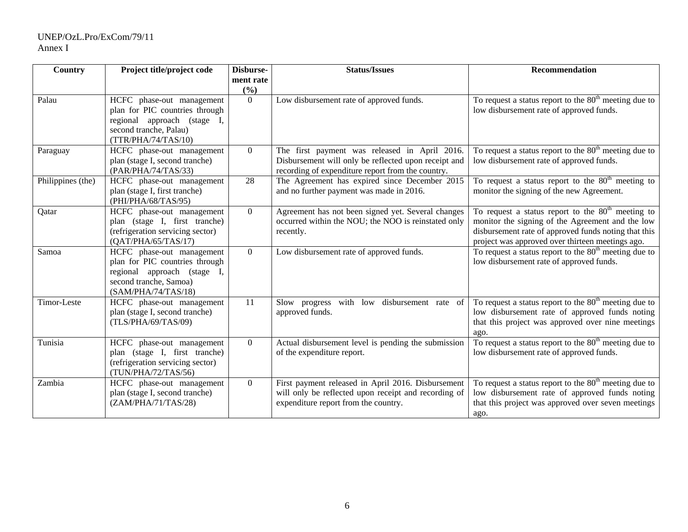| Country           | Project title/project code                                 | Disburse-       | <b>Status/Issues</b>                                                                         | Recommendation                                                                                           |
|-------------------|------------------------------------------------------------|-----------------|----------------------------------------------------------------------------------------------|----------------------------------------------------------------------------------------------------------|
|                   |                                                            | ment rate       |                                                                                              |                                                                                                          |
| Palau             | HCFC phase-out management                                  | (%)<br>$\Omega$ |                                                                                              | To request a status report to the 80 <sup>th</sup> meeting due to                                        |
|                   | plan for PIC countries through                             |                 | Low disbursement rate of approved funds.                                                     | low disbursement rate of approved funds.                                                                 |
|                   | regional approach (stage I,                                |                 |                                                                                              |                                                                                                          |
|                   | second tranche, Palau)                                     |                 |                                                                                              |                                                                                                          |
|                   | (TTR/PHA/74/TAS/10)                                        |                 |                                                                                              |                                                                                                          |
| Paraguay          | HCFC phase-out management                                  | $\Omega$        | The first payment was released in April 2016.                                                | To request a status report to the $80th$ meeting due to                                                  |
|                   | plan (stage I, second tranche)                             |                 | Disbursement will only be reflected upon receipt and                                         | low disbursement rate of approved funds.                                                                 |
|                   | (PAR/PHA/74/TAS/33)                                        | 28              | recording of expenditure report from the country.                                            |                                                                                                          |
| Philippines (the) | HCFC phase-out management<br>plan (stage I, first tranche) |                 | The Agreement has expired since December 2015<br>and no further payment was made in 2016.    | To request a status report to the $80th$ meeting to<br>monitor the signing of the new Agreement.         |
|                   | (PHI/PHA/68/TAS/95)                                        |                 |                                                                                              |                                                                                                          |
| Qatar             | HCFC phase-out management                                  | $\overline{0}$  | Agreement has not been signed yet. Several changes                                           | To request a status report to the $80th$ meeting to                                                      |
|                   | plan (stage I, first tranche)                              |                 | occurred within the NOU; the NOO is reinstated only                                          | monitor the signing of the Agreement and the low                                                         |
|                   | (refrigeration servicing sector)<br>(OAT/PHA/65/TAS/17)    |                 | recently.                                                                                    | disbursement rate of approved funds noting that this<br>project was approved over thirteen meetings ago. |
| Samoa             | HCFC phase-out management                                  | $\overline{0}$  | Low disbursement rate of approved funds.                                                     | To request a status report to the 80 <sup>th</sup> meeting due to                                        |
|                   | plan for PIC countries through                             |                 |                                                                                              | low disbursement rate of approved funds.                                                                 |
|                   | regional approach (stage I,                                |                 |                                                                                              |                                                                                                          |
|                   | second tranche, Samoa)                                     |                 |                                                                                              |                                                                                                          |
|                   | (SAM/PHA/74/TAS/18)                                        |                 |                                                                                              |                                                                                                          |
| Timor-Leste       | HCFC phase-out management                                  | 11              | disbursement rate of<br>Slow progress<br>with<br>low                                         | To request a status report to the 80 <sup>th</sup> meeting due to                                        |
|                   | plan (stage I, second tranche)<br>(TLS/PHA/69/TAS/09)      |                 | approved funds.                                                                              | low disbursement rate of approved funds noting                                                           |
|                   |                                                            |                 |                                                                                              | that this project was approved over nine meetings<br>ago.                                                |
| Tunisia           | HCFC phase-out management                                  | $\Omega$        | Actual disbursement level is pending the submission                                          | To request a status report to the $80th$ meeting due to                                                  |
|                   | plan (stage I, first tranche)                              |                 | of the expenditure report.                                                                   | low disbursement rate of approved funds.                                                                 |
|                   | (refrigeration servicing sector)                           |                 |                                                                                              |                                                                                                          |
|                   | (TUN/PHA/72/TAS/56)                                        |                 |                                                                                              |                                                                                                          |
| Zambia            | HCFC phase-out management                                  | $\overline{0}$  | First payment released in April 2016. Disbursement                                           | To request a status report to the $80th$ meeting due to                                                  |
|                   | plan (stage I, second tranche)<br>(ZAM/PHA/71/TAS/28)      |                 | will only be reflected upon receipt and recording of<br>expenditure report from the country. | low disbursement rate of approved funds noting<br>that this project was approved over seven meetings     |
|                   |                                                            |                 |                                                                                              | ago.                                                                                                     |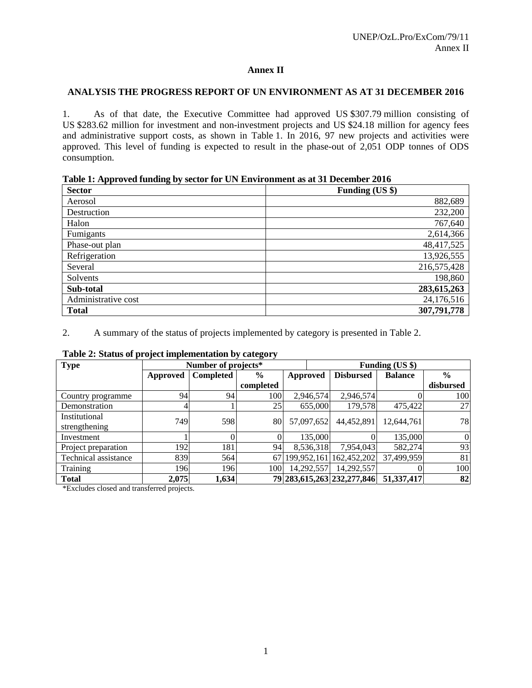# **Annex II**

# **ANALYSIS THE PROGRESS REPORT OF UN ENVIRONMENT AS AT 31 DECEMBER 2016**

1. As of that date, the Executive Committee had approved US \$307.79 million consisting of US \$283.62 million for investment and non-investment projects and US \$24.18 million for agency fees and administrative support costs, as shown in Table 1. In 2016, 97 new projects and activities were approved. This level of funding is expected to result in the phase-out of 2,051 ODP tonnes of ODS consumption.

| Table 1: Approved funding by sector for UN Environment as at 31 December 2016 |  |  |  |  |  |  |  |  |
|-------------------------------------------------------------------------------|--|--|--|--|--|--|--|--|
|-------------------------------------------------------------------------------|--|--|--|--|--|--|--|--|

| <b>Sector</b>       | Funding (US \$) |
|---------------------|-----------------|
| Aerosol             | 882,689         |
| Destruction         | 232,200         |
| Halon               | 767,640         |
| Fumigants           | 2,614,366       |
| Phase-out plan      | 48,417,525      |
| Refrigeration       | 13,926,555      |
| Several             | 216,575,428     |
| Solvents            | 198,860         |
| Sub-total           | 283,615,263     |
| Administrative cost | 24,176,516      |
| <b>Total</b>        | 307,791,778     |

2. A summary of the status of projects implemented by category is presented in Table 2.

| <b>Type</b>          |          | Number of projects* |               |                 |            | Funding (US \$)            |                |                  |
|----------------------|----------|---------------------|---------------|-----------------|------------|----------------------------|----------------|------------------|
|                      | Approved | <b>Completed</b>    | $\frac{0}{0}$ | <b>Approved</b> |            | <b>Disbursed</b>           | <b>Balance</b> | $\frac{6}{9}$    |
|                      |          |                     | completed     |                 |            |                            |                | disbursed        |
| Country programme    | 94       | 94                  | 100           |                 | 2,946,574  | 2,946,574                  |                | 100              |
| Demonstration        |          |                     | 25            |                 | 655,000    | 179,578                    | 475,422        | 27               |
| Institutional        | 749      | 598                 | 80            |                 | 57,097,652 | 44,452,891                 | 12,644,761     | 78               |
| strengthening        |          |                     |               |                 |            |                            |                |                  |
| Investment           |          |                     |               |                 | 135,000    |                            | 135,000        | $\boldsymbol{0}$ |
| Project preparation  | 1921     | 181                 | 94            |                 | 8,536,318  | 7,954,043                  | 582,274        | 93               |
| Technical assistance | 839      | 564                 | 67            | 199,952,161     |            | 162,452,202                | 37,499,959     | 81               |
| Training             | 196      | 196                 | 100           |                 | 14,292,557 | 14,292,557                 |                | 100              |
| <b>Total</b>         | 2,075    | 1,634               |               |                 |            | 79 283,615,263 232,277,846 | 51,337,417     | 82               |

# **Table 2: Status of project implementation by category**

\*Excludes closed and transferred projects.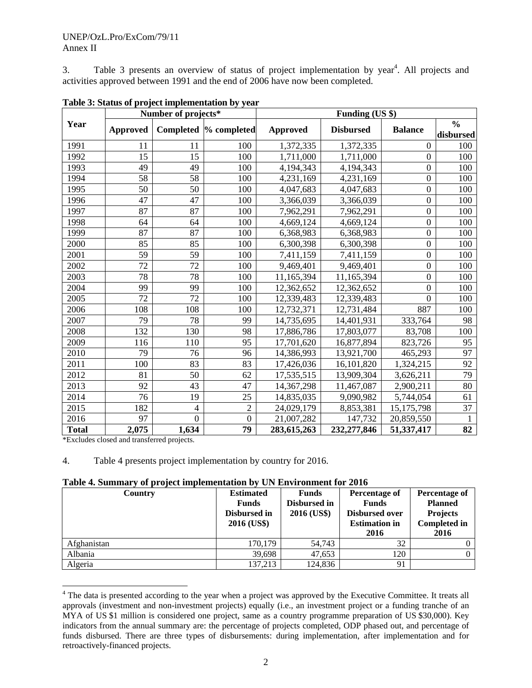3. Table 3 presents an overview of status of project implementation by year<sup>4</sup>. All projects and activities approved between 1991 and the end of 2006 have now been completed.

|              |                 | Number of projects* |                  | Funding (US \$) |                  |                  |                  |
|--------------|-----------------|---------------------|------------------|-----------------|------------------|------------------|------------------|
| Year         | <b>Approved</b> | Completed           | % completed      | <b>Approved</b> | <b>Disbursed</b> | <b>Balance</b>   | $\frac{0}{0}$    |
| 1991         | 11              | 11                  | 100              | 1,372,335       | 1,372,335        | $\Omega$         | disbursed<br>100 |
| 1992         | 15              | 15                  | 100              | 1,711,000       | 1,711,000        | $\mathbf{0}$     | 100              |
| 1993         | 49              | 49                  | 100              | 4,194,343       | 4,194,343        | $\boldsymbol{0}$ | 100              |
| 1994         | 58              | 58                  | 100              | 4,231,169       | 4,231,169        | $\boldsymbol{0}$ | 100              |
| 1995         | 50              | 50                  | 100              | 4,047,683       | 4,047,683        | $\mathbf{0}$     | 100              |
| 1996         | 47              | 47                  | 100              | 3,366,039       | 3,366,039        | $\boldsymbol{0}$ | 100              |
| 1997         | 87              | 87                  | 100              | 7,962,291       | 7,962,291        | $\boldsymbol{0}$ | 100              |
| 1998         | 64              | 64                  | 100              | 4,669,124       | 4,669,124        | $\boldsymbol{0}$ | 100              |
| 1999         | 87              | 87                  | 100              | 6,368,983       | 6,368,983        | $\boldsymbol{0}$ | 100              |
| 2000         | 85              | 85                  | 100              | 6,300,398       | 6,300,398        | $\boldsymbol{0}$ | 100              |
| 2001         | 59              | 59                  | 100              | 7,411,159       | 7,411,159        | $\boldsymbol{0}$ | 100              |
| 2002         | 72              | 72                  | 100              | 9,469,401       | 9,469,401        | $\boldsymbol{0}$ | 100              |
| 2003         | 78              | 78                  | 100              | 11,165,394      | 11,165,394       | $\boldsymbol{0}$ | 100              |
| 2004         | 99              | 99                  | 100              | 12,362,652      | 12,362,652       | $\Omega$         | 100              |
| 2005         | 72              | $\overline{72}$     | 100              | 12,339,483      | 12,339,483       | $\Omega$         | 100              |
| 2006         | 108             | 108                 | 100              | 12,732,371      | 12,731,484       | 887              | 100              |
| 2007         | 79              | 78                  | 99               | 14,735,695      | 14,401,931       | 333,764          | 98               |
| 2008         | 132             | 130                 | 98               | 17,886,786      | 17,803,077       | 83,708           | 100              |
| 2009         | 116             | 110                 | 95               | 17,701,620      | 16,877,894       | 823,726          | 95               |
| 2010         | 79              | 76                  | 96               | 14,386,993      | 13,921,700       | 465,293          | 97               |
| 2011         | 100             | 83                  | 83               | 17,426,036      | 16,101,820       | 1,324,215        | 92               |
| 2012         | 81              | 50                  | 62               | 17,535,515      | 13,909,304       | 3,626,211        | 79               |
| 2013         | 92              | 43                  | 47               | 14,367,298      | 11,467,087       | 2,900,211        | 80               |
| 2014         | 76              | 19                  | 25               | 14,835,035      | 9,090,982        | 5,744,054        | 61               |
| 2015         | 182             | 4                   | $\overline{2}$   | 24,029,179      | 8,853,381        | 15,175,798       | 37               |
| 2016         | 97              | $\overline{0}$      | $\boldsymbol{0}$ | 21,007,282      | 147,732          | 20,859,550       | 1                |
| <b>Total</b> | 2,075           | 1,634               | 79               | 283,615,263     | 232,277,846      | 51,337,417       | 82               |

**Table 3: Status of project implementation by year** 

\*Excludes closed and transferred projects.

4. Table 4 presents project implementation by country for 2016.

| Table 4. Summary of project implementation by UN Environment for 2016 |  |  |  |  |  |
|-----------------------------------------------------------------------|--|--|--|--|--|
|-----------------------------------------------------------------------|--|--|--|--|--|

| Country     | <b>Estimated</b><br><b>Funds</b><br>Disbursed in<br>2016 (US\$) | <b>Funds</b><br>Disbursed in<br>2016 (US\$) | Percentage of<br><b>Funds</b><br><b>Disbursed over</b><br><b>Estimation in</b><br>2016 | Percentage of<br><b>Planned</b><br><b>Projects</b><br><b>Completed in</b><br>2016 |
|-------------|-----------------------------------------------------------------|---------------------------------------------|----------------------------------------------------------------------------------------|-----------------------------------------------------------------------------------|
| Afghanistan | 170,179                                                         | 54,743                                      | 32                                                                                     |                                                                                   |
| Albania     | 39,698                                                          | 47,653                                      | 120                                                                                    |                                                                                   |
| Algeria     | 137,213                                                         | 124,836                                     | 91                                                                                     |                                                                                   |

<sup>&</sup>lt;sup>4</sup> The data is presented according to the year when a project was approved by the Executive Committee. It treats all approvals (investment and non-investment projects) equally (i.e., an investment project or a funding tranche of an MYA of US \$1 million is considered one project, same as a country programme preparation of US \$30,000). Key indicators from the annual summary are: the percentage of projects completed, ODP phased out, and percentage of funds disbursed. There are three types of disbursements: during implementation, after implementation and for retroactively-financed projects.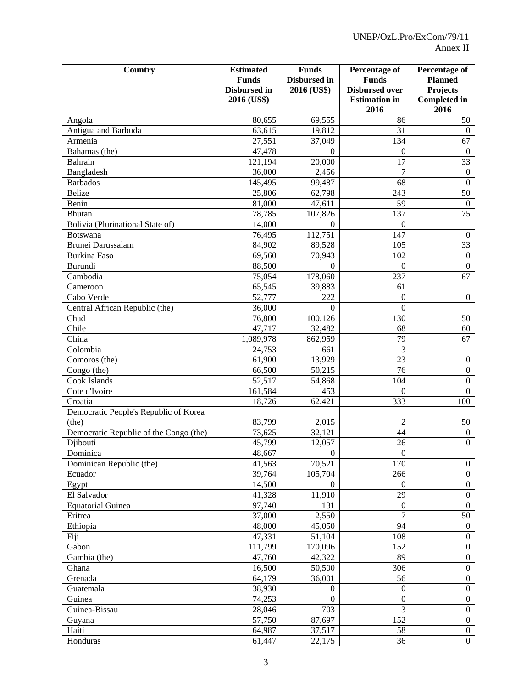| <b>Country</b>                         | <b>Estimated</b><br><b>Funds</b><br>Disbursed in<br>2016 (US\$) | <b>Funds</b><br>Disbursed in<br>2016 (US\$) | <b>Percentage of</b><br><b>Funds</b><br><b>Disbursed over</b><br><b>Estimation</b> in<br>2016 | <b>Percentage of</b><br><b>Planned</b><br><b>Projects</b><br><b>Completed</b> in<br>2016 |
|----------------------------------------|-----------------------------------------------------------------|---------------------------------------------|-----------------------------------------------------------------------------------------------|------------------------------------------------------------------------------------------|
| Angola                                 | 80,655                                                          | 69,555                                      | 86                                                                                            | 50                                                                                       |
| Antigua and Barbuda                    | 63,615                                                          | 19,812                                      | 31                                                                                            | $\boldsymbol{0}$                                                                         |
| Armenia                                | 27,551                                                          | 37,049                                      | 134                                                                                           | 67                                                                                       |
| Bahamas (the)                          | 47,478                                                          | $\Omega$                                    | $\Omega$                                                                                      | $\boldsymbol{0}$                                                                         |
| Bahrain                                | 121,194                                                         | 20,000                                      | 17                                                                                            | 33                                                                                       |
| Bangladesh                             | 36,000                                                          | 2,456                                       | $\overline{7}$                                                                                | $\mathbf{0}$                                                                             |
| <b>Barbados</b>                        | 145,495                                                         | 99,487                                      | 68                                                                                            | $\mathbf{0}$                                                                             |
| <b>Belize</b>                          | 25,806                                                          | 62,798                                      | 243                                                                                           | 50                                                                                       |
| Benin                                  | 81,000                                                          | 47,611                                      | 59                                                                                            | $\mathbf{0}$                                                                             |
| <b>Bhutan</b>                          | 78,785                                                          | 107,826                                     | 137                                                                                           | 75                                                                                       |
| Bolivia (Plurinational State of)       | 14,000                                                          | $\Omega$                                    | $\Omega$                                                                                      |                                                                                          |
| Botswana                               | 76,495                                                          | 112,751                                     | 147                                                                                           | $\mathbf{0}$                                                                             |
| Brunei Darussalam                      | 84,902                                                          | 89,528                                      | 105                                                                                           | 33                                                                                       |
| <b>Burkina Faso</b>                    | 69,560                                                          | 70,943                                      | 102                                                                                           | $\mathbf{0}$                                                                             |
| Burundi                                | 88,500                                                          | $\theta$                                    | $\mathbf{0}$                                                                                  | $\overline{0}$                                                                           |
| Cambodia                               | 75,054                                                          | 178,060                                     | 237                                                                                           | 67                                                                                       |
| Cameroon                               | 65,545                                                          | 39,883                                      | 61                                                                                            |                                                                                          |
| Cabo Verde                             | 52,777                                                          | 222                                         | $\mathbf{0}$                                                                                  | $\overline{0}$                                                                           |
| Central African Republic (the)         | 36,000                                                          | $\Omega$                                    | $\mathbf{0}$                                                                                  |                                                                                          |
| Chad                                   | 76,800                                                          | 100,126                                     | 130                                                                                           | 50                                                                                       |
| Chile                                  | 47,717                                                          | 32,482                                      | 68                                                                                            | 60                                                                                       |
| China                                  | 1,089,978                                                       | 862,959                                     | 79                                                                                            | 67                                                                                       |
| Colombia                               | 24,753                                                          | 661                                         | 3                                                                                             |                                                                                          |
| Comoros (the)                          | 61,900                                                          | 13,929                                      | 23                                                                                            | $\boldsymbol{0}$                                                                         |
| Congo (the)                            | 66,500                                                          | 50,215                                      | 76                                                                                            | $\overline{0}$                                                                           |
| Cook Islands                           | 52,517                                                          | 54,868                                      | 104                                                                                           | $\overline{0}$                                                                           |
| Cote d'Ivoire                          | 161,584                                                         | 453                                         | $\Omega$                                                                                      | $\overline{0}$                                                                           |
| Croatia                                | 18,726                                                          | 62,421                                      | 333                                                                                           | 100                                                                                      |
| Democratic People's Republic of Korea  |                                                                 |                                             |                                                                                               |                                                                                          |
| (the)                                  | 83,799                                                          | 2,015                                       | $\overline{2}$                                                                                | 50                                                                                       |
| Democratic Republic of the Congo (the) | 73,625                                                          | 32,121                                      | 44                                                                                            | $\overline{0}$                                                                           |
| Djibouti                               | 45,799                                                          | 12,057                                      | 26                                                                                            | $\overline{0}$                                                                           |
| Dominica                               | 48,667                                                          | $\boldsymbol{0}$                            | $\boldsymbol{0}$                                                                              |                                                                                          |
| Dominican Republic (the)               | 41,563                                                          | 70,521                                      | 170                                                                                           | $\overline{0}$                                                                           |
| Ecuador                                | 39,764                                                          | 105,704                                     | 266                                                                                           | $\overline{0}$                                                                           |
| Egypt                                  | 14,500                                                          | $\left($                                    | $\theta$                                                                                      | $\overline{0}$                                                                           |
| El Salvador                            | 41,328                                                          | 11,910                                      | 29                                                                                            | $\overline{0}$                                                                           |
| <b>Equatorial Guinea</b>               | 97,740                                                          | 131                                         | $\theta$                                                                                      | $\mathbf{0}$                                                                             |
| Eritrea                                | 37,000                                                          | 2,550                                       | $\tau$                                                                                        | 50                                                                                       |
| Ethiopia                               | 48,000                                                          | 45,050                                      | 94                                                                                            | $\mathbf{0}$                                                                             |
| Fiji                                   | 47,331                                                          | 51,104                                      | 108                                                                                           | $\overline{0}$                                                                           |
| Gabon                                  | 111,799                                                         | 170,096                                     | 152                                                                                           | $\overline{0}$                                                                           |
| Gambia (the)                           | 47,760                                                          | 42,322                                      | 89                                                                                            | $\boldsymbol{0}$                                                                         |
| Ghana                                  | 16,500                                                          | 50,500                                      | 306                                                                                           | $\boldsymbol{0}$                                                                         |
| Grenada                                | 64,179                                                          | 36,001                                      | 56                                                                                            | $\boldsymbol{0}$                                                                         |
| Guatemala                              | 38,930                                                          | $\Omega$                                    | $\theta$                                                                                      | $\boldsymbol{0}$                                                                         |
| Guinea                                 | 74,253                                                          | $\Omega$                                    | $\overline{0}$                                                                                | $\boldsymbol{0}$                                                                         |
| Guinea-Bissau                          | 28,046                                                          | 703                                         | 3                                                                                             | $\boldsymbol{0}$                                                                         |
| Guyana                                 | 57,750                                                          | 87,697                                      | 152                                                                                           | $\overline{0}$                                                                           |
| Haiti                                  | 64,987                                                          | 37,517                                      | 58                                                                                            | $\overline{0}$                                                                           |
| Honduras                               | 61,447                                                          | 22,175                                      | 36                                                                                            | $\overline{0}$                                                                           |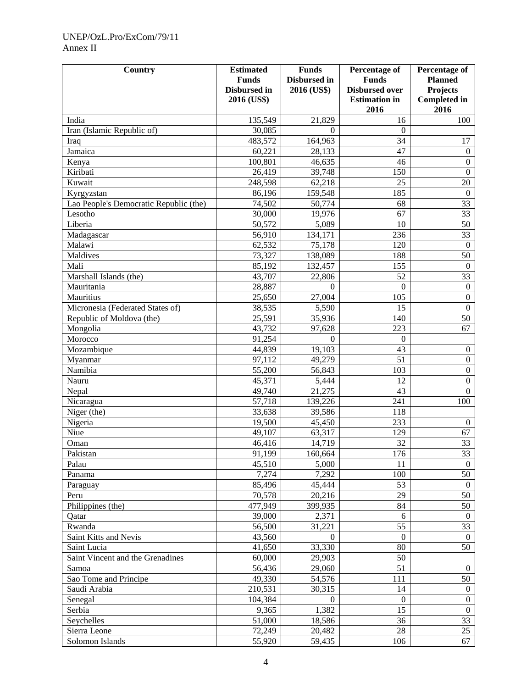# UNEP/OzL.Pro/ExCom/79/11 Annex II

| <b>Country</b>                                       | <b>Estimated</b>    | <b>Funds</b>      | Percentage of         | Percentage of       |
|------------------------------------------------------|---------------------|-------------------|-----------------------|---------------------|
|                                                      | <b>Funds</b>        | Disbursed in      | <b>Funds</b>          | <b>Planned</b>      |
|                                                      | <b>Disbursed</b> in | 2016 (US\$)       | <b>Disbursed over</b> | <b>Projects</b>     |
|                                                      | 2016 (US\$)         |                   | <b>Estimation</b> in  | <b>Completed</b> in |
| India                                                | 135,549             | 21,829            | 2016                  | 2016<br>100         |
| Iran (Islamic Republic of)                           | 30,085              | $\Omega$          | 16<br>$\Omega$        |                     |
|                                                      | 483,572             | 164,963           | 34                    | 17                  |
| Iraq<br>Jamaica                                      | 60,221              | 28,133            | 47                    | $\boldsymbol{0}$    |
|                                                      | 100,801             | 46,635            | 46                    | $\boldsymbol{0}$    |
| Kenya<br>Kiribati                                    |                     | 39,748            | 150                   | $\overline{0}$      |
| Kuwait                                               | 26,419<br>248,598   | 62,218            | 25                    | 20                  |
|                                                      | 86,196              |                   | 185                   | $\boldsymbol{0}$    |
| Kyrgyzstan<br>Lao People's Democratic Republic (the) | 74,502              | 159,548<br>50,774 | 68                    | 33                  |
|                                                      |                     |                   | 67                    | 33                  |
| Lesotho                                              | 30,000              | 19,976            | 10                    | 50                  |
| Liberia                                              | 50,572              | 5,089             |                       |                     |
| Madagascar                                           | 56,910              | 134,171           | 236                   | 33                  |
| Malawi                                               | 62,532              | 75,178            | 120                   | $\boldsymbol{0}$    |
| Maldives                                             | 73,327              | 138,089           | 188                   | 50                  |
| Mali                                                 | 85,192              | 132,457           | 155                   | $\boldsymbol{0}$    |
| Marshall Islands (the)                               | 43,707              | 22,806            | 52                    | 33                  |
| Mauritania                                           | 28,887              | $\Omega$          | $\boldsymbol{0}$      | $\boldsymbol{0}$    |
| Mauritius                                            | 25,650              | 27,004            | 105                   | $\mathbf{0}$        |
| Micronesia (Federated States of)                     | 38,535              | 5,590             | 15                    | $\overline{0}$      |
| Republic of Moldova (the)                            | 25,591              | 35,936            | 140                   | 50                  |
| Mongolia                                             | 43,732              | 97,628            | 223                   | 67                  |
| Morocco                                              | 91,254              | $\Omega$          | $\Omega$              |                     |
| Mozambique                                           | 44,839              | 19,103            | 43                    | $\boldsymbol{0}$    |
| Myanmar                                              | 97,112              | 49,279            | 51                    | $\overline{0}$      |
| Namibia                                              | 55,200              | 56,843            | 103                   | $\boldsymbol{0}$    |
| Nauru                                                | 45,371              | 5,444             | 12                    | $\overline{0}$      |
| Nepal                                                | 49,740              | 21,275            | 43                    | $\overline{0}$      |
| Nicaragua                                            | 57,718              | 139,226           | 241                   | 100                 |
| Niger (the)                                          | 33,638              | 39,586            | 118                   |                     |
| Nigeria                                              | 19,500              | 45,450            | 233                   | $\boldsymbol{0}$    |
| Niue                                                 | 49,107              | 63,317            | 129                   | 67                  |
| Oman                                                 | 46,416              | 14,719            | 32                    | 33                  |
| Pakistan                                             | 91,199              | 160,664           | 176                   | $\overline{33}$     |
| Palau                                                | 45,510              | 5,000             | 11                    | $\overline{0}$      |
| Panama                                               | 7,274               | 7,292             | 100                   | 50                  |
| Paraguay                                             | 85,496              | 45,444            | 53                    | $\overline{0}$      |
| Peru                                                 | 70,578              | 20,216            | 29                    | 50                  |
| Philippines (the)                                    | 477,949             | 399,935           | 84                    | 50                  |
| Qatar                                                | 39,000              | 2,371             | 6                     | $\mathbf{0}$        |
| Rwanda                                               | 56,500              | 31,221            | 55                    | 33                  |
| Saint Kitts and Nevis                                | 43,560              | $\theta$          | $\boldsymbol{0}$      | $\mathbf{0}$        |
| Saint Lucia                                          | 41,650              | 33,330            | 80                    | 50                  |
| Saint Vincent and the Grenadines                     | 60,000              | 29,903            | 50                    |                     |
| Samoa                                                | 56,436              | 29,060            | 51                    | $\mathbf{0}$        |
| Sao Tome and Principe                                | 49,330              | 54,576            | 111                   | 50                  |
| Saudi Arabia                                         | 210,531             | 30,315            | 14                    | $\mathbf{0}$        |
| Senegal                                              | 104,384             | $\theta$          | $\overline{0}$        | $\overline{0}$      |
| Serbia                                               | 9,365               | 1,382             | 15                    | $\overline{0}$      |
| Seychelles                                           | 51,000              | 18,586            | 36                    | 33                  |
| Sierra Leone                                         | 72,249              | 20,482            | 28                    | 25                  |
| Solomon Islands                                      | 55,920              | 59,435            | 106                   | 67                  |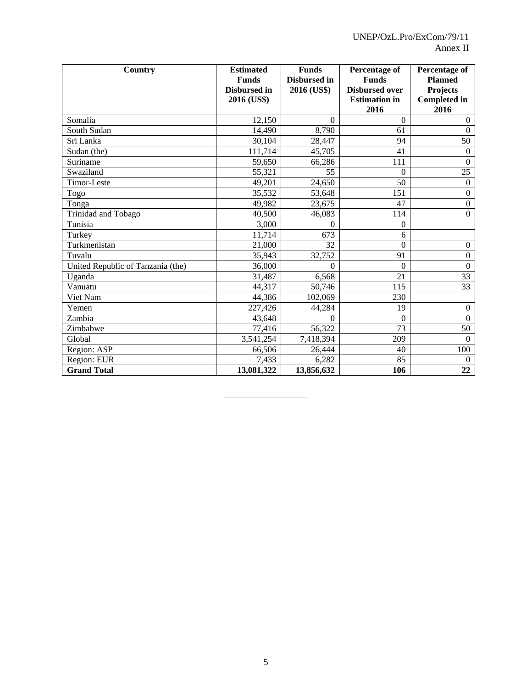| <b>Country</b>                    | <b>Estimated</b><br><b>Funds</b><br><b>Disbursed</b> in<br>2016 (US\$) | <b>Funds</b><br>Disbursed in<br>2016 (US\$) | Percentage of<br><b>Funds</b><br><b>Disbursed over</b><br><b>Estimation</b> in<br>2016 | Percentage of<br><b>Planned</b><br><b>Projects</b><br><b>Completed in</b><br>2016 |
|-----------------------------------|------------------------------------------------------------------------|---------------------------------------------|----------------------------------------------------------------------------------------|-----------------------------------------------------------------------------------|
| Somalia                           | 12,150                                                                 | $\Omega$                                    | $\Omega$                                                                               | $\overline{0}$                                                                    |
| South Sudan                       | 14,490                                                                 | 8,790                                       | 61                                                                                     | $\Omega$                                                                          |
| Sri Lanka                         | 30,104                                                                 | 28,447                                      | 94                                                                                     | 50                                                                                |
| Sudan (the)                       | 111,714                                                                | 45,705                                      | 41                                                                                     | $\theta$                                                                          |
| Suriname                          | 59,650                                                                 | 66,286                                      | 111                                                                                    | $\mathbf{0}$                                                                      |
| Swaziland                         | 55,321                                                                 | 55                                          | $\Omega$                                                                               | 25                                                                                |
| Timor-Leste                       | 49,201                                                                 | 24,650                                      | 50                                                                                     | $\overline{0}$                                                                    |
| Togo                              | 35,532                                                                 | 53,648                                      | 151                                                                                    | $\boldsymbol{0}$                                                                  |
| Tonga                             | 49,982                                                                 | 23,675                                      | 47                                                                                     | $\boldsymbol{0}$                                                                  |
| Trinidad and Tobago               | 40,500                                                                 | 46,083                                      | 114                                                                                    | $\overline{0}$                                                                    |
| Tunisia                           | 3,000                                                                  | $\Omega$                                    | $\overline{0}$                                                                         |                                                                                   |
| Turkey                            | 11,714                                                                 | 673                                         | 6                                                                                      |                                                                                   |
| Turkmenistan                      | 21,000                                                                 | 32                                          | $\overline{0}$                                                                         | $\overline{0}$                                                                    |
| Tuvalu                            | 35,943                                                                 | 32,752                                      | 91                                                                                     | $\boldsymbol{0}$                                                                  |
| United Republic of Tanzania (the) | 36,000                                                                 | $\Omega$                                    | $\Omega$                                                                               | $\Omega$                                                                          |
| Uganda                            | 31,487                                                                 | 6,568                                       | 21                                                                                     | 33                                                                                |
| Vanuatu                           | 44,317                                                                 | 50,746                                      | 115                                                                                    | 33                                                                                |
| Viet Nam                          | 44,386                                                                 | 102,069                                     | 230                                                                                    |                                                                                   |
| Yemen                             | 227,426                                                                | 44,284                                      | 19                                                                                     | $\overline{0}$                                                                    |
| Zambia                            | 43,648                                                                 | $\Omega$                                    | $\Omega$                                                                               | $\mathbf{0}$                                                                      |
| Zimbabwe                          | 77,416                                                                 | 56,322                                      | 73                                                                                     | 50                                                                                |
| Global                            | 3,541,254                                                              | 7,418,394                                   | 209                                                                                    | $\Omega$                                                                          |
| Region: ASP                       | 66,506                                                                 | 26,444                                      | 40                                                                                     | 100                                                                               |
| Region: EUR                       | 7,433                                                                  | 6,282                                       | 85                                                                                     | $\overline{0}$                                                                    |
| <b>Grand Total</b>                | 13,081,322                                                             | 13,856,632                                  | 106                                                                                    | 22                                                                                |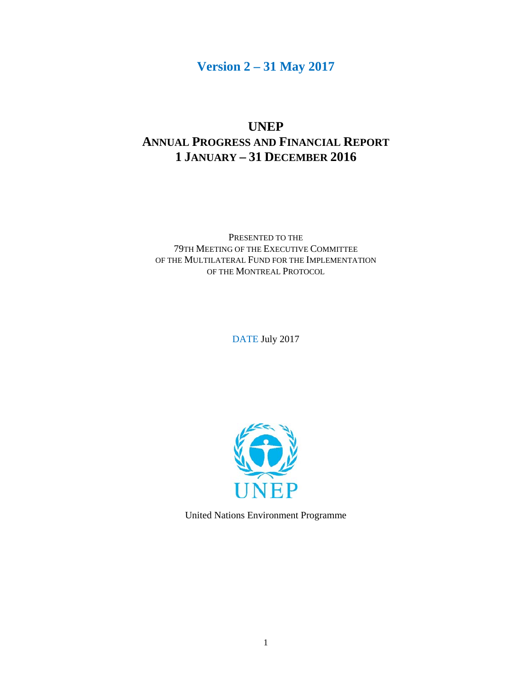# **Version 2 – 31 May 2017**

# **UNEP ANNUAL PROGRESS AND FINANCIAL REPORT 1 JANUARY – 31 DECEMBER 2016**

PRESENTED TO THE 79TH MEETING OF THE EXECUTIVE COMMITTEE OF THE MULTILATERAL FUND FOR THE IMPLEMENTATION OF THE MONTREAL PROTOCOL

DATE July 2017



United Nations Environment Programme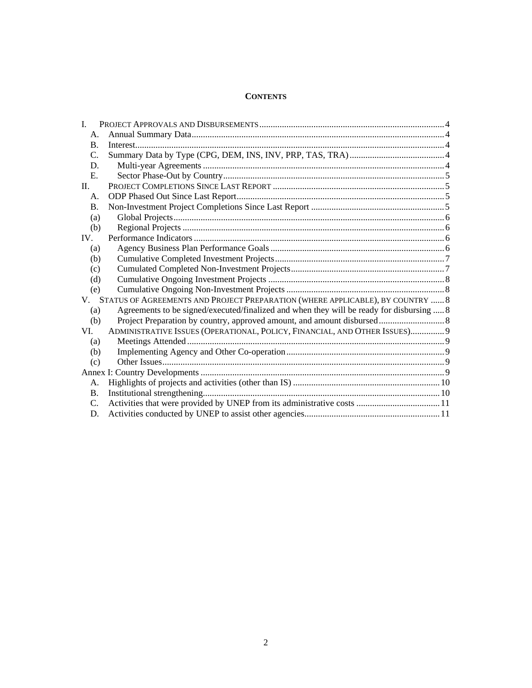# **CONTENTS**

| $\mathbf{I}$   |                                                                                          |  |
|----------------|------------------------------------------------------------------------------------------|--|
| A.             |                                                                                          |  |
| $\mathbf{B}$ . |                                                                                          |  |
| $C_{\cdot}$    |                                                                                          |  |
| D.             |                                                                                          |  |
| $E_{\rm c}$    |                                                                                          |  |
| $\Pi$ .        |                                                                                          |  |
| A.             |                                                                                          |  |
| <b>B.</b>      |                                                                                          |  |
| (a)            |                                                                                          |  |
| (b)            |                                                                                          |  |
| IV.            |                                                                                          |  |
| (a)            |                                                                                          |  |
| (b)            |                                                                                          |  |
| (c)            |                                                                                          |  |
| (d)            |                                                                                          |  |
| (e)            |                                                                                          |  |
|                | V. STATUS OF AGREEMENTS AND PROJECT PREPARATION (WHERE APPLICABLE), BY COUNTRY  8        |  |
| (a)            | Agreements to be signed/executed/finalized and when they will be ready for disbursing  8 |  |
| (b)            |                                                                                          |  |
| VI.            | ADMINISTRATIVE ISSUES (OPERATIONAL, POLICY, FINANCIAL, AND OTHER ISSUES) 9               |  |
| (a)            |                                                                                          |  |
| (b)            |                                                                                          |  |
| (c)            |                                                                                          |  |
|                |                                                                                          |  |
| A.             |                                                                                          |  |
| <b>B.</b>      |                                                                                          |  |
| $C_{\cdot}$    |                                                                                          |  |
| D.             |                                                                                          |  |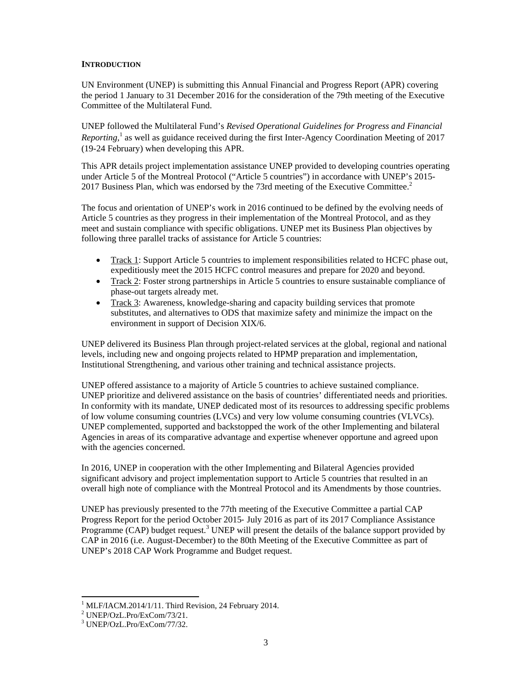### **INTRODUCTION**

UN Environment (UNEP) is submitting this Annual Financial and Progress Report (APR) covering the period 1 January to 31 December 2016 for the consideration of the 79th meeting of the Executive Committee of the Multilateral Fund.

UNEP followed the Multilateral Fund's *Revised Operational Guidelines for Progress and Financial*  Reporting,<sup>1</sup> as well as guidance received during the first Inter-Agency Coordination Meeting of 2017 (19-24 February) when developing this APR.

This APR details project implementation assistance UNEP provided to developing countries operating under Article 5 of the Montreal Protocol ("Article 5 countries") in accordance with UNEP's 2015- 2017 Business Plan, which was endorsed by the 73rd meeting of the Executive Committee. $2$ 

The focus and orientation of UNEP's work in 2016 continued to be defined by the evolving needs of Article 5 countries as they progress in their implementation of the Montreal Protocol, and as they meet and sustain compliance with specific obligations. UNEP met its Business Plan objectives by following three parallel tracks of assistance for Article 5 countries:

- Track 1: Support Article 5 countries to implement responsibilities related to HCFC phase out, expeditiously meet the 2015 HCFC control measures and prepare for 2020 and beyond.
- Track 2: Foster strong partnerships in Article 5 countries to ensure sustainable compliance of phase-out targets already met.
- Track 3: Awareness, knowledge-sharing and capacity building services that promote substitutes, and alternatives to ODS that maximize safety and minimize the impact on the environment in support of Decision XIX/6.

UNEP delivered its Business Plan through project-related services at the global, regional and national levels, including new and ongoing projects related to HPMP preparation and implementation, Institutional Strengthening, and various other training and technical assistance projects.

UNEP offered assistance to a majority of Article 5 countries to achieve sustained compliance. UNEP prioritize and delivered assistance on the basis of countries' differentiated needs and priorities. In conformity with its mandate, UNEP dedicated most of its resources to addressing specific problems of low volume consuming countries (LVCs) and very low volume consuming countries (VLVCs). UNEP complemented, supported and backstopped the work of the other Implementing and bilateral Agencies in areas of its comparative advantage and expertise whenever opportune and agreed upon with the agencies concerned.

In 2016, UNEP in cooperation with the other Implementing and Bilateral Agencies provided significant advisory and project implementation support to Article 5 countries that resulted in an overall high note of compliance with the Montreal Protocol and its Amendments by those countries.

UNEP has previously presented to the 77th meeting of the Executive Committee a partial CAP Progress Report for the period October 2015‐ July 2016 as part of its 2017 Compliance Assistance Programme  $(CAP)$  budget request.<sup>3</sup> UNEP will present the details of the balance support provided by CAP in 2016 (i.e. August-December) to the 80th Meeting of the Executive Committee as part of UNEP's 2018 CAP Work Programme and Budget request.

<sup>&</sup>lt;sup>1</sup> MLF/IACM.2014/1/11. Third Revision, 24 February 2014.

UNEP/OzL.Pro/ExCom/73/21.

<sup>3</sup> UNEP/OzL.Pro/ExCom/77/32.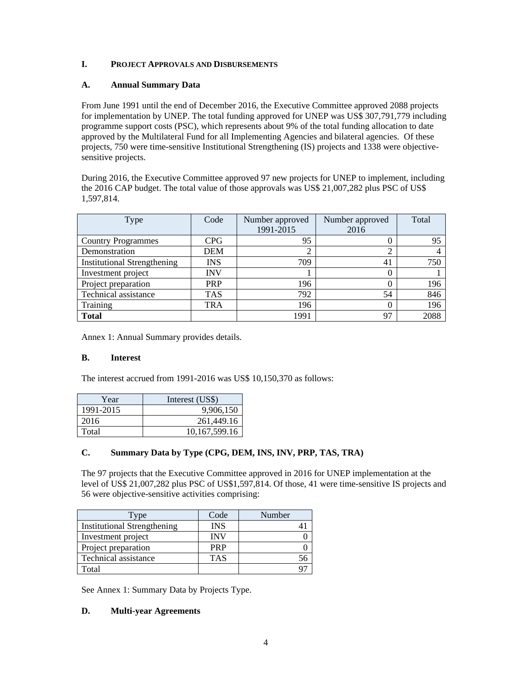## **I. PROJECT APPROVALS AND DISBURSEMENTS**

### **A. Annual Summary Data**

From June 1991 until the end of December 2016, the Executive Committee approved 2088 projects for implementation by UNEP. The total funding approved for UNEP was US\$ 307,791,779 including programme support costs (PSC), which represents about 9% of the total funding allocation to date approved by the Multilateral Fund for all Implementing Agencies and bilateral agencies. Of these projects, 750 were time-sensitive Institutional Strengthening (IS) projects and 1338 were objectivesensitive projects.

During 2016, the Executive Committee approved 97 new projects for UNEP to implement, including the 2016 CAP budget. The total value of those approvals was US\$ 21,007,282 plus PSC of US\$ 1,597,814.

| Type                               | Code       | Number approved<br>1991-2015 | Number approved<br>2016 | Total |
|------------------------------------|------------|------------------------------|-------------------------|-------|
| <b>Country Programmes</b>          | <b>CPG</b> | 95                           |                         | 95    |
| Demonstration                      | <b>DEM</b> |                              | ⌒                       |       |
| <b>Institutional Strengthening</b> | INS        | 709                          | 41                      | 750   |
| Investment project                 | <b>INV</b> |                              |                         |       |
| Project preparation                | <b>PRP</b> | 196                          |                         | 196   |
| Technical assistance               | <b>TAS</b> | 792                          | 54                      | 846   |
| Training                           | <b>TRA</b> | 196                          |                         | 196   |
| <b>Total</b>                       |            | 1991                         | 97                      | 2088  |

Annex 1: Annual Summary provides details.

## **B. Interest**

The interest accrued from 1991-2016 was US\$ 10,150,370 as follows:

| Year      | Interest (US\$)  |
|-----------|------------------|
| 1991-2015 | 9,906,150        |
| 2016      | 261,449.16       |
| Total     | 10, 167, 599. 16 |

### **C. Summary Data by Type (CPG, DEM, INS, INV, PRP, TAS, TRA)**

The 97 projects that the Executive Committee approved in 2016 for UNEP implementation at the level of US\$ 21,007,282 plus PSC of US\$1,597,814. Of those, 41 were time-sensitive IS projects and 56 were objective-sensitive activities comprising:

| Type                               | Code       | Number |
|------------------------------------|------------|--------|
| <b>Institutional Strengthening</b> | <b>INS</b> |        |
| Investment project                 | <b>INV</b> |        |
| Project preparation                | <b>PRP</b> |        |
| Technical assistance               | <b>TAS</b> |        |
| Total                              |            |        |

See Annex 1: Summary Data by Projects Type.

### **D. Multi-year Agreements**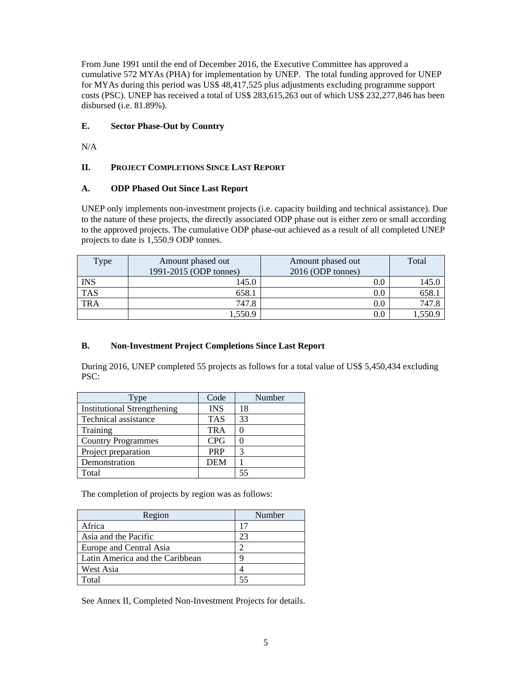From June 1991 until the end of December 2016, the Executive Committee has approved a cumulative 572 MYAs (PHA) for implementation by UNEP. The total funding approved for UNEP for MYAs during this period was US\$ 48,417,525 plus adjustments excluding programme support costs (PSC). UNEP has received a total of US\$ 283,615,263 out of which US\$ 232,277,846 has been disbursed (i.e. 81.89%).

# **E. Sector Phase-Out by Country**

N/A

# **II. PROJECT COMPLETIONS SINCE LAST REPORT**

# **A. ODP Phased Out Since Last Report**

UNEP only implements non-investment projects (i.e. capacity building and technical assistance). Due to the nature of these projects, the directly associated ODP phase out is either zero or small according to the approved projects. The cumulative ODP phase-out achieved as a result of all completed UNEP projects to date is 1,550.9 ODP tonnes.

| Type       | Amount phased out      | Amount phased out | Total  |
|------------|------------------------|-------------------|--------|
|            | 1991-2015 (ODP tonnes) | 2016 (ODP tonnes) |        |
| <b>INS</b> | 145.0                  | $0.0\,$           | 145.0  |
| <b>TAS</b> | 658.1                  | $0.0\,$           | 658.   |
| <b>TRA</b> | 747.8                  | $0.0\,$           | 747.8  |
|            | 1,550.9                | $0.0\,$           | .550.9 |

# **B. Non-Investment Project Completions Since Last Report**

During 2016, UNEP completed 55 projects as follows for a total value of US\$ 5,450,434 excluding PSC:

| Type                               | Code       | Number |
|------------------------------------|------------|--------|
| <b>Institutional Strengthening</b> | <b>INS</b> | 18     |
| Technical assistance               | <b>TAS</b> | 33     |
| Training                           | <b>TRA</b> |        |
| <b>Country Programmes</b>          | <b>CPG</b> |        |
| Project preparation                | <b>PRP</b> | 3      |
| Demonstration                      | <b>DEM</b> |        |
| Total                              |            | 55     |

The completion of projects by region was as follows:

| Region                          | Number |
|---------------------------------|--------|
| Africa                          | 17     |
| Asia and the Pacific            | 23     |
| Europe and Central Asia         |        |
| Latin America and the Caribbean |        |
| West Asia                       |        |
| Total                           |        |

See Annex II, Completed Non-Investment Projects for details.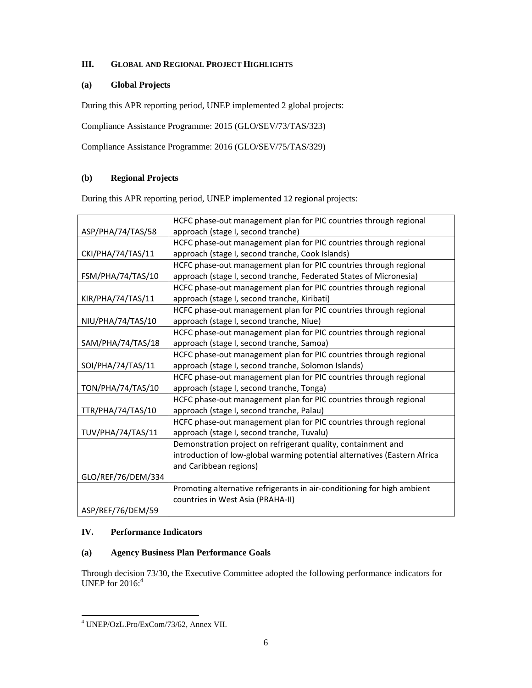# **III. GLOBAL AND REGIONAL PROJECT HIGHLIGHTS**

## **(a) Global Projects**

During this APR reporting period, UNEP implemented 2 global projects:

Compliance Assistance Programme: 2015 (GLO/SEV/73/TAS/323)

Compliance Assistance Programme: 2016 (GLO/SEV/75/TAS/329)

## **(b) Regional Projects**

During this APR reporting period, UNEP implemented 12 regional projects:

|                    | HCFC phase-out management plan for PIC countries through regional         |
|--------------------|---------------------------------------------------------------------------|
| ASP/PHA/74/TAS/58  | approach (stage I, second tranche)                                        |
|                    | HCFC phase-out management plan for PIC countries through regional         |
| CKI/PHA/74/TAS/11  | approach (stage I, second tranche, Cook Islands)                          |
|                    | HCFC phase-out management plan for PIC countries through regional         |
| FSM/PHA/74/TAS/10  | approach (stage I, second tranche, Federated States of Micronesia)        |
|                    | HCFC phase-out management plan for PIC countries through regional         |
| KIR/PHA/74/TAS/11  | approach (stage I, second tranche, Kiribati)                              |
|                    | HCFC phase-out management plan for PIC countries through regional         |
| NIU/PHA/74/TAS/10  | approach (stage I, second tranche, Niue)                                  |
|                    | HCFC phase-out management plan for PIC countries through regional         |
| SAM/PHA/74/TAS/18  | approach (stage I, second tranche, Samoa)                                 |
|                    | HCFC phase-out management plan for PIC countries through regional         |
| SOI/PHA/74/TAS/11  | approach (stage I, second tranche, Solomon Islands)                       |
|                    | HCFC phase-out management plan for PIC countries through regional         |
| TON/PHA/74/TAS/10  | approach (stage I, second tranche, Tonga)                                 |
|                    | HCFC phase-out management plan for PIC countries through regional         |
| TTR/PHA/74/TAS/10  | approach (stage I, second tranche, Palau)                                 |
|                    | HCFC phase-out management plan for PIC countries through regional         |
| TUV/PHA/74/TAS/11  | approach (stage I, second tranche, Tuvalu)                                |
|                    | Demonstration project on refrigerant quality, containment and             |
|                    | introduction of low-global warming potential alternatives (Eastern Africa |
|                    | and Caribbean regions)                                                    |
| GLO/REF/76/DEM/334 |                                                                           |
|                    | Promoting alternative refrigerants in air-conditioning for high ambient   |
|                    | countries in West Asia (PRAHA-II)                                         |
| ASP/REF/76/DEM/59  |                                                                           |

# **IV. Performance Indicators**

### **(a) Agency Business Plan Performance Goals**

Through decision 73/30, the Executive Committee adopted the following performance indicators for UNEP for 2016:<sup>4</sup>

 4 UNEP/OzL.Pro/ExCom/73/62, Annex VII.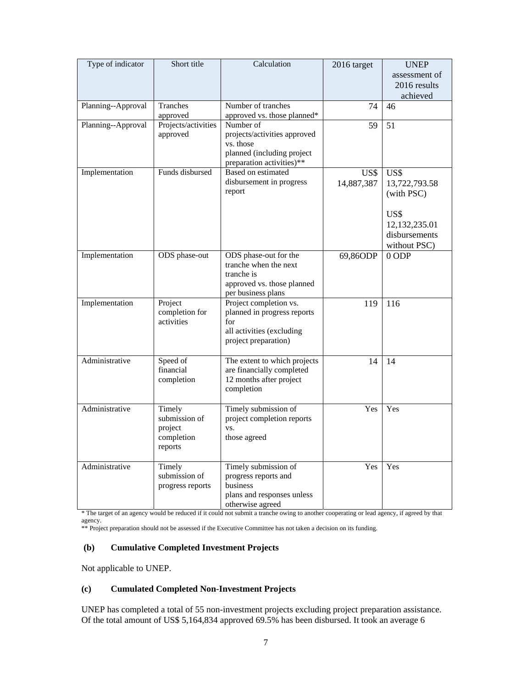| Type of indicator  | Short title                                                 | Calculation                                                                                                       | 2016 target        | <b>UNEP</b><br>assessment of<br>2016 results<br>achieved                                      |
|--------------------|-------------------------------------------------------------|-------------------------------------------------------------------------------------------------------------------|--------------------|-----------------------------------------------------------------------------------------------|
| Planning--Approval | Tranches<br>approved                                        | Number of tranches<br>approved vs. those planned*                                                                 | 74                 | 46                                                                                            |
| Planning--Approval | Projects/activities<br>approved                             | Number of<br>projects/activities approved<br>vs. those<br>planned (including project<br>preparation activities)** | 59                 | 51                                                                                            |
| Implementation     | Funds disbursed                                             | <b>Based on estimated</b><br>disbursement in progress<br>report                                                   | US\$<br>14,887,387 | US\$<br>13,722,793.58<br>(with PSC)<br>US\$<br>12,132,235.01<br>disbursements<br>without PSC) |
| Implementation     | ODS phase-out                                               | ODS phase-out for the<br>tranche when the next<br>tranche is<br>approved vs. those planned<br>per business plans  | 69,86ODP           | $0$ ODP                                                                                       |
| Implementation     | Project<br>completion for<br>activities                     | Project completion vs.<br>planned in progress reports<br>for<br>all activities (excluding<br>project preparation) | 119                | 116                                                                                           |
| Administrative     | Speed of<br>financial<br>completion                         | The extent to which projects<br>are financially completed<br>12 months after project<br>completion                | 14                 | 14                                                                                            |
| Administrative     | Timely<br>submission of<br>project<br>completion<br>reports | Timely submission of<br>project completion reports<br>VS.<br>those agreed                                         | Yes                | Yes                                                                                           |
| Administrative     | Timely<br>submission of<br>progress reports                 | Timely submission of<br>progress reports and<br>business<br>plans and responses unless<br>otherwise agreed        | Yes                | Yes                                                                                           |

\* The target of an agency would be reduced if it could not submit a tranche owing to another cooperating or lead agency, if agreed by that agency.

\*\* Project preparation should not be assessed if the Executive Committee has not taken a decision on its funding.

#### **(b) Cumulative Completed Investment Projects**

Not applicable to UNEP.

## **(c) Cumulated Completed Non-Investment Projects**

UNEP has completed a total of 55 non-investment projects excluding project preparation assistance. Of the total amount of US\$ 5,164,834 approved 69.5% has been disbursed. It took an average 6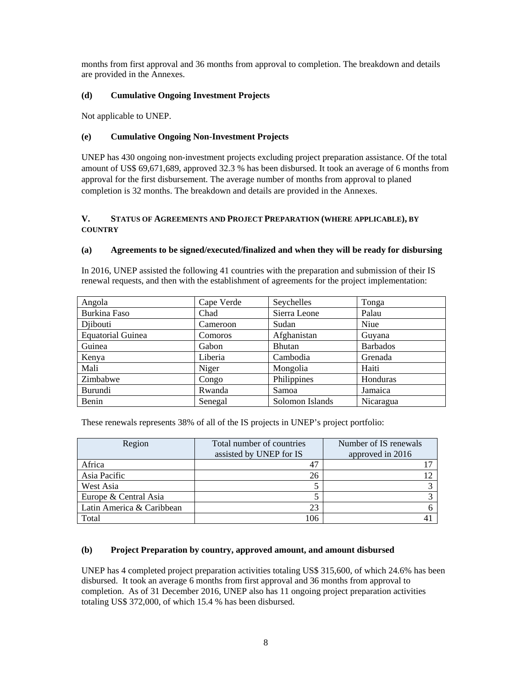months from first approval and 36 months from approval to completion. The breakdown and details are provided in the Annexes.

## **(d) Cumulative Ongoing Investment Projects**

Not applicable to UNEP.

## **(e) Cumulative Ongoing Non-Investment Projects**

UNEP has 430 ongoing non-investment projects excluding project preparation assistance. Of the total amount of US\$ 69,671,689, approved 32.3 % has been disbursed. It took an average of 6 months from approval for the first disbursement. The average number of months from approval to planed completion is 32 months. The breakdown and details are provided in the Annexes.

### **V. STATUS OF AGREEMENTS AND PROJECT PREPARATION (WHERE APPLICABLE), BY COUNTRY**

### **(a) Agreements to be signed/executed/finalized and when they will be ready for disbursing**

In 2016, UNEP assisted the following 41 countries with the preparation and submission of their IS renewal requests, and then with the establishment of agreements for the project implementation:

| Angola                   | Cape Verde     | Seychelles      | Tonga           |
|--------------------------|----------------|-----------------|-----------------|
| Burkina Faso             | Chad           | Sierra Leone    | Palau           |
| Diibouti                 | Cameroon       | Sudan           | Niue            |
| <b>Equatorial Guinea</b> | <b>Comoros</b> | Afghanistan     | Guyana          |
| Guinea                   | Gabon          | <b>Bhutan</b>   | <b>Barbados</b> |
| Kenya                    | Liberia        | Cambodia        | Grenada         |
| Mali                     | Niger          | Mongolia        | Haiti           |
| Zimbabwe                 | Congo          | Philippines     | Honduras        |
| Burundi                  | Rwanda         | Samoa           | Jamaica         |
| Benin                    | Senegal        | Solomon Islands | Nicaragua       |

These renewals represents 38% of all of the IS projects in UNEP's project portfolio:

| Region                    | Total number of countries | Number of IS renewals |
|---------------------------|---------------------------|-----------------------|
|                           | assisted by UNEP for IS   | approved in 2016      |
| Africa                    |                           |                       |
| Asia Pacific              | 26                        |                       |
| West Asia                 |                           |                       |
| Europe & Central Asia     |                           |                       |
| Latin America & Caribbean | 23                        |                       |
| Total                     | 106                       |                       |

### **(b) Project Preparation by country, approved amount, and amount disbursed**

UNEP has 4 completed project preparation activities totaling US\$ 315,600, of which 24.6% has been disbursed. It took an average 6 months from first approval and 36 months from approval to completion. As of 31 December 2016, UNEP also has 11 ongoing project preparation activities totaling US\$ 372,000, of which 15.4 % has been disbursed.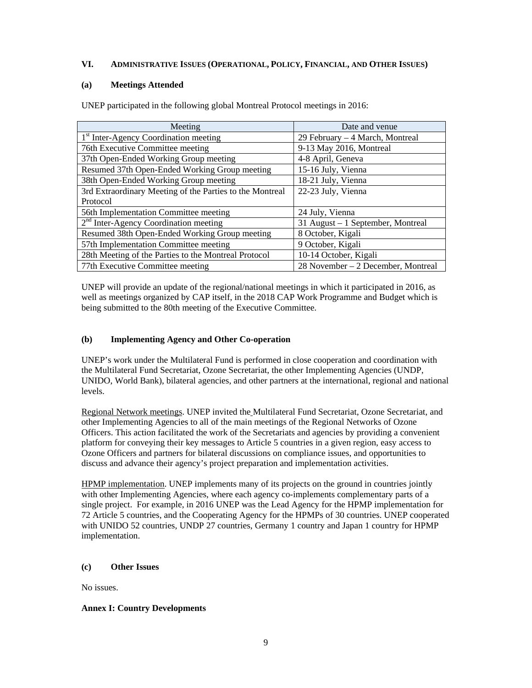## **VI. ADMINISTRATIVE ISSUES (OPERATIONAL, POLICY, FINANCIAL, AND OTHER ISSUES)**

## **(a) Meetings Attended**

| Meeting                                                  | Date and venue                     |
|----------------------------------------------------------|------------------------------------|
| 1 <sup>st</sup> Inter-Agency Coordination meeting        | 29 February – 4 March, Montreal    |
| 76th Executive Committee meeting                         | 9-13 May 2016, Montreal            |
| 37th Open-Ended Working Group meeting                    | 4-8 April, Geneva                  |
| Resumed 37th Open-Ended Working Group meeting            | 15-16 July, Vienna                 |
| 38th Open-Ended Working Group meeting                    | 18-21 July, Vienna                 |
| 3rd Extraordinary Meeting of the Parties to the Montreal | 22-23 July, Vienna                 |
| Protocol                                                 |                                    |
| 56th Implementation Committee meeting                    | 24 July, Vienna                    |
| $2nd$ Inter-Agency Coordination meeting                  | 31 August – 1 September, Montreal  |
| Resumed 38th Open-Ended Working Group meeting            | 8 October, Kigali                  |
| 57th Implementation Committee meeting                    | 9 October, Kigali                  |
| 28th Meeting of the Parties to the Montreal Protocol     | 10-14 October, Kigali              |
| 77th Executive Committee meeting                         | 28 November – 2 December, Montreal |

UNEP participated in the following global Montreal Protocol meetings in 2016:

UNEP will provide an update of the regional/national meetings in which it participated in 2016, as well as meetings organized by CAP itself, in the 2018 CAP Work Programme and Budget which is being submitted to the 80th meeting of the Executive Committee.

## **(b) Implementing Agency and Other Co-operation**

UNEP's work under the Multilateral Fund is performed in close cooperation and coordination with the Multilateral Fund Secretariat, Ozone Secretariat, the other Implementing Agencies (UNDP, UNIDO, World Bank), bilateral agencies, and other partners at the international, regional and national levels.

Regional Network meetings. UNEP invited the Multilateral Fund Secretariat, Ozone Secretariat, and other Implementing Agencies to all of the main meetings of the Regional Networks of Ozone Officers. This action facilitated the work of the Secretariats and agencies by providing a convenient platform for conveying their key messages to Article 5 countries in a given region, easy access to Ozone Officers and partners for bilateral discussions on compliance issues, and opportunities to discuss and advance their agency's project preparation and implementation activities.

HPMP implementation. UNEP implements many of its projects on the ground in countries jointly with other Implementing Agencies, where each agency co-implements complementary parts of a single project. For example, in 2016 UNEP was the Lead Agency for the HPMP implementation for 72 Article 5 countries, and the Cooperating Agency for the HPMPs of 30 countries. UNEP cooperated with UNIDO 52 countries, UNDP 27 countries, Germany 1 country and Japan 1 country for HPMP implementation.

### **(c) Other Issues**

No issues.

### **Annex I: Country Developments**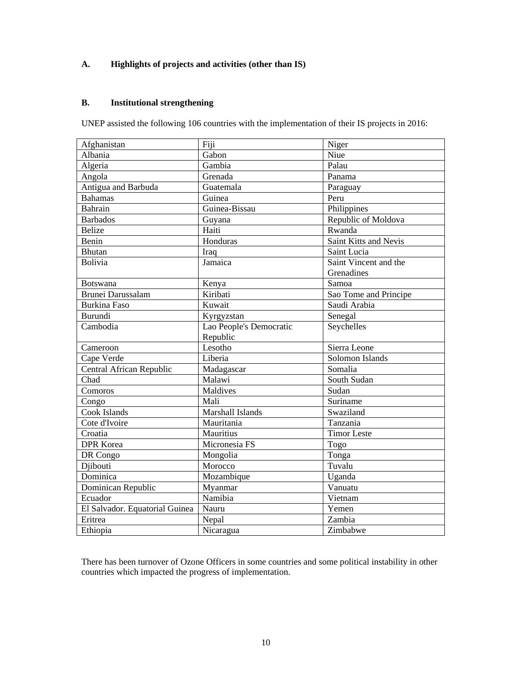# **A. Highlights of projects and activities (other than IS)**

# **B. Institutional strengthening**

UNEP assisted the following 106 countries with the implementation of their IS projects in 2016:

| Afghanistan                    | Fiji                    | Niger                 |
|--------------------------------|-------------------------|-----------------------|
| Albania                        | Gabon                   | Niue                  |
| Algeria                        | Gambia                  | Palau                 |
| Angola                         | Grenada                 | Panama                |
| Antigua and Barbuda            | Guatemala               | Paraguay              |
| <b>Bahamas</b>                 | Guinea                  | Peru                  |
| Bahrain                        | Guinea-Bissau           | Philippines           |
| <b>Barbados</b>                | Guyana                  | Republic of Moldova   |
| <b>Belize</b>                  | Haiti                   | Rwanda                |
| Benin                          | Honduras                | Saint Kitts and Nevis |
| <b>Bhutan</b>                  | Iraq                    | Saint Lucia           |
| <b>Bolivia</b>                 | Jamaica                 | Saint Vincent and the |
|                                |                         | Grenadines            |
| Botswana                       | Kenya                   | Samoa                 |
| <b>Brunei Darussalam</b>       | Kiribati                | Sao Tome and Principe |
| <b>Burkina Faso</b>            | Kuwait                  | Saudi Arabia          |
| Burundi                        | Kyrgyzstan              | Senegal               |
| Cambodia                       | Lao People's Democratic | Seychelles            |
|                                | Republic                |                       |
| Cameroon                       | Lesotho                 | Sierra Leone          |
| Cape Verde                     | Liberia                 | Solomon Islands       |
| Central African Republic       | Madagascar              | Somalia               |
| Chad                           | Malawi                  | South Sudan           |
| Comoros                        | Maldives                | Sudan                 |
| Congo                          | Mali                    | Suriname              |
| Cook Islands                   | Marshall Islands        | Swaziland             |
| Cote d'Ivoire                  | Mauritania              | Tanzania              |
| Croatia                        | Mauritius               | <b>Timor Leste</b>    |
| <b>DPR</b> Korea               | Micronesia FS           | Togo                  |
| DR Congo                       | Mongolia                | Tonga                 |
| Djibouti                       | Morocco                 | Tuvalu                |
| Dominica                       | Mozambique              | Uganda                |
| Dominican Republic             | Myanmar                 | $\overline{V}$ anuatu |
| Ecuador                        | Namibia                 | Vietnam               |
| El Salvador. Equatorial Guinea | Nauru                   | Yemen                 |
| Eritrea                        | Nepal                   | Zambia                |
| Ethiopia                       | Nicaragua               | Zimbabwe              |

There has been turnover of Ozone Officers in some countries and some political instability in other countries which impacted the progress of implementation.